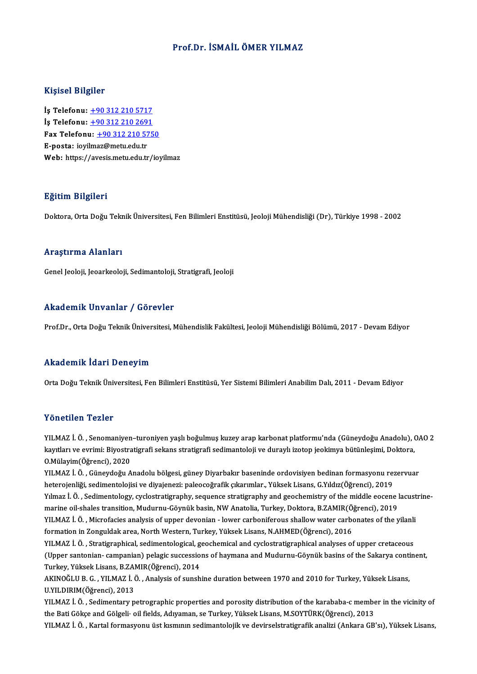## Prof.Dr. İSMAİLÖMER YILMAZ

#### Kişisel Bilgiler

Kişisel Bilgiler<br>İş Telefonu: <u>+90 312 210 5717</u><br>İs Telefonu: 190 312 210 2601 1191001 2119101<br>İş Telefonu: <u>+90 312 210 5717</u><br>İş Telefonu: <u>+90 312 210 2691</u><br>Fax Telefonu: +90 212 210 575 İş Telefonu: <u>+90 312 210 5717</u><br>İş Telefonu: <u>+90 312 210 2691</u><br>Fax Telefonu: <u>+90 312 210 5750</u><br>F nosta: javilmaz@matu.edu.tr  $i$ s Telefonu:  $\pm 903122102691$ <br>Fax Telefonu:  $\pm 903122105750$ <br>E-posta: iovi[lm](tel:+90 312 210 2691)[az@metu.edu.tr](tel:+90 312 210 5750) Web: https://avesis.metu.edu.tr/ioyilmaz

#### Eğitim Bilgileri

Doktora, Orta Doğu Teknik Üniversitesi, Fen Bilimleri Enstitüsü, Jeoloji Mühendisliği (Dr), Türkiye 1998 - 2002

#### Araştırma Alanları

Genel Jeoloji, Jeoarkeoloji,Sedimantoloji,Stratigrafi, Jeoloji

## Akademik Unvanlar / Görevler

Prof.Dr., Orta Doğu Teknik Üniversitesi, Mühendislik Fakültesi, Jeoloji Mühendisliği Bölümü, 2017 - Devam Ediyor

## Akademik İdari Deneyim

Orta Doğu Teknik Üniversitesi, Fen Bilimleri Enstitüsü, Yer Sistemi Bilimleri Anabilim Dalı, 2011 - Devam Ediyor

#### Yönetilen Tezler

YILMAZ İ.Ö. ,Senomaniyen–turoniyenyaşlıboğulmuş kuzey arap karbonatplatformu'nda (GüneydoğuAnadolu),OAO2 k olioclicile i calici<br>KILMAZ İ. Ö. , Senomaniyen–turoniyen yaşlı boğulmuş kuzey arap karbonat platformu'nda (Güneydoğu Anadolu), (<br>Rayıtları ve evrimi: Biyostratigrafi sekans stratigrafi sedimantoloji ve duraylı izotop je YILMAZ İ. Ö. , Senomaniyen<br>kayıtları ve evrimi: Biyostra<br>O.Mülayim(Öğrenci), 2020<br>VILMAZ İ. Ö. Cüneydeğu A kayıtları ve evrimi: Biyostratigrafi sekans stratigrafi sedimantoloji ve duraylı izotop jeokimya bütünleşimi, Doktora,<br>O.Mülayim(Öğrenci), 2020<br>YILMAZ İ. Ö. , Güneydoğu Anadolu bölgesi, güney Diyarbakır baseninde ordovisiy

0.Mülayim(Öğrenci), 2020<br>YILMAZ İ. Ö. , Güneydoğu Anadolu bölgesi, güney Diyarbakır baseninde ordovisiyen bedinan formasyonu re:<br>heterojenliği, sedimentolojisi ve diyajenezi: paleocoğrafik çıkarımlar., Yüksek Lisans, G.Yıl YILMAZ İ. Ö. , Güneydoğu Anadolu bölgesi, güney Diyarbakır baseninde ordovisiyen bedinan formasyonu rezervuar<br>heterojenliği, sedimentolojisi ve diyajenezi: paleocoğrafik çıkarımlar., Yüksek Lisans, G.Yıldız(Öğrenci), 2019<br> heterojenliği, sedimentolojisi ve diyajenezi: paleocoğrafik çıkarımlar., Yüksek Lisans, G.Yıldız(Öğrenci), 2019<br>Yılmaz İ. Ö. , Sedimentology, cyclostratigraphy, sequence stratigraphy and geochemistry of the middle eocene l Yılmaz İ. Ö. , Sedimentology, cyclostratigraphy, sequence stratigraphy and geochemistry of the middle eocene lacust<br>marine oil-shales transition, Mudurnu-Göynük basin, NW Anatolia, Turkey, Doktora, B.ZAMIR(Öğrenci), 2019<br>Y marine oil-shales transition, Mudurnu-Göynük basin, NW Anatolia, Turkey, Doktora, B.ZAMIR(Ö)<br>YILMAZ İ. Ö. , Microfacies analysis of upper devonian - lower carboniferous shallow water carb<br>formation in Zonguldak area, North YILMAZ İ. Ö. , Microfacies analysis of upper devonian - lower carboniferous shallow water carbonates of the yilanli<br>formation in Zonguldak area, North Western, Turkey, Yüksek Lisans, N.AHMED(Öğrenci), 2016<br>YILMAZ İ. Ö. , S formation in Zonguldak area, North Western, Turkey, Yüksek Lisans, N.AHMED(Öğrenci), 2016<br>YILMAZ İ. Ö. , Stratigraphical, sedimentological, geochemical and cyclostratigraphical analyses of upper cretaceous<br>(Upper santonian YILMAZ İ. Ö. , Stratigraphical, sedimentological, g<br>(Upper santonian- campanian) pelagic successio<br>Turkey, Yüksek Lisans, B.ZAMIR(Öğrenci), 2014<br>AKINOČLU B. G., YU MAZ İ. Ö., Analysis of sunah

(Upper santonian- campanian) pelagic successions of haymana and Mudurnu-Göynük basins of the Sakarya conti<br>Turkey, Yüksek Lisans, B.ZAMIR(Öğrenci), 2014<br>AKINOĞLU B. G. , YILMAZ İ. Ö. , Analysis of sunshine duration between Turkey, Yüksek Lisans, B.ZAMIR(Öğrenci), 2014<br>AKINOĞLU B. G. , YILMAZ İ. Ö. , Analysis of sunshine duration between 1970 and 2010 for Turkey, Yüksek Lisans,<br>U.YILDIRIM(Öğrenci), 2013 AKINOĞLU B. G. , YILMAZ İ. Ö. , Analysis of sunshine duration between 1970 and 2010 for Turkey, Yüksek Lisans,<br>U.YILDIRIM(Öğrenci), 2013<br>YILMAZ İ. Ö. , Sedimentary petrographic properties and porosity distribution of the k

U.YILDIRIM(Öğrenci), 2013<br>YILMAZ İ. Ö. , Sedimentary petrographic properties and porosity distribution of the karababa-c membe<br>the Bati Gökçe and Gölgeli· oil fields, Adıyaman, se Turkey, Yüksek Lisans, M.SOYTÜRK(Öğrenci), the Bati Gökçe and Gölgeli• oil fields, Adıyaman, se Turkey, Yüksek Lisans, M.SOYTÜRK(Öğrenci), 2013<br>YILMAZ İ. Ö. , Kartal formasyonu üst kısmının sedimantolojik ve devirselstratigrafik analizi (Ankara GB'sı), Yüksek Lisan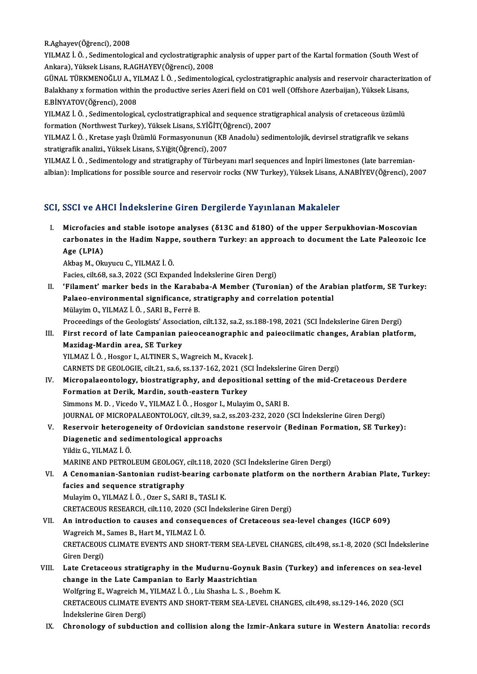R.Aghayev(Öğrenci),2008

R.Aghayev(Öğrenci), 2008<br>YILMAZ İ. Ö. , Sedimentological and cyclostratigraphic analysis of upper part of the Kartal formation (South West of<br>Ankaro), Yüksek Lisans, B.ACHAYEV(Öğrensi), 2009 R.Aghayev(Öğrenci), 2008<br>YILMAZ İ. Ö. , Sedimentological and cyclostratigraphic<br>Ankara), Yüksek Lisans, R.AGHAYEV(Öğrenci), 2008<br>CÜNAL TÜPKMENQĞLU A. YU MAZ İ. Ö. Sedimentele YILMAZ İ. Ö. , Sedimentological and cyclostratigraphic analysis of upper part of the Kartal formation (South West of<br>Ankara), Yüksek Lisans, R.AGHAYEV(Öğrenci), 2008<br>GÜNAL TÜRKMENOĞLU A., YILMAZ İ. Ö. , Sedimentological, c

Ankara), Yüksek Lisans, R.AGHAYEV(Öğrenci), 2008<br>GÜNAL TÜRKMENOĞLU A., YILMAZ İ. Ö. , Sedimentological, cyclostratigraphic analysis and reservoir characteriza<br>Balakhany x formation within the productive series Azeri field GÜNAL TÜRKMENOĞLU A., YI<br>Balakhany x formation within<br>E.BİNYATOV(Öğrenci), 2008<br>YILMAZ İ. Ö. Sodimantalagia Balakhany x formation within the productive series Azeri field on C01 well (Offshore Azerbaijan), Yüksek Lisans,<br>E.BİNYATOV(Öğrenci), 2008<br>YILMAZ İ. Ö. , Sedimentological, cyclostratigraphical and sequence stratigraphical

YILMAZ İ. Ö., Sedimentological, cyclostratigraphical and sequence stratigraphical analysis of cretaceous üzümlü

YILMAZ İ.Ö. ,Kretase yaşlıÜzümlü Formasyonunun(KBAnadolu) sedimentolojik,devirsel stratigrafikve sekans stratigrafikanalizi.,YüksekLisans,S.Yiğit(Öğrenci),2007 YILMAZ İ. Ö. , Kretase yaşlı Üzümlü Formasyonunun (KB Anadolu) sedimentolojik, devirsel stratigrafik ve sekans<br>stratigrafik analizi., Yüksek Lisans, S.Yiğit(Öğrenci), 2007<br>YILMAZ İ. Ö. , Sedimentology and stratigraphy of T

stratigrafik analizi., Yüksek Lisans, S.Yiğit(Öğrenci), 2007<br>YILMAZ İ. Ö. , Sedimentology and stratigraphy of Türbeyanı marl sequences and İnpiri limestones (late barremian<br>albian): Implications for possible source and res albian): Implications for possible source and reservoir rocks (NW Turkey), Yüksek Lisans, A.NABİYEV(Öğrenci), 2007<br>SCI, SSCI ve AHCI İndekslerine Giren Dergilerde Yayınlanan Makaleler

I. Microfacies and stable isotope analyses (δ13C and δ18O) of the upper Serpukhovian-Moscovian cour ve first inactionalist and belghorate ray intaitant radiations<br>Microfacies and stable isotope analyses (813C and 8180) of the upper Serpukhovian-Moscovian<br>carbonates in the Hadim Nappe, southern Turkey: an approach to Microfacies<br>carbonates<br>Age (LPIA) carbonates in the Hadim Napp<br>Age (LPIA)<br>Akbaş M., Okuyucu C., YILMAZ İ.Ö.<br>Fasies silt 69 sa 3 2022 (SSL Expa

Age (LPIA)<br>Akbaş M., Okuyucu C., YILMAZ İ. Ö.<br>Facies, cilt.68, sa.3, 2022 (SCI Expanded İndekslerine Giren Dergi)

II. 'Filament' marker beds in the Karababa-A Member (Turonian) of the Arabian platform, SE Turkey: Facies, cilt.68, sa.3, 2022 (SCI Expanded İndekslerine Giren Dergi)<br>'Filament' marker beds in the Karababa-A Member (Turonian) of the Aral<br>Palaeo-environmental significance, stratigraphy and correlation potential<br>Mülayim O 'Filament' marker beds in the Karaba<br>Palaeo-environmental significance, st<br>Mülayim O., YILMAZ İ. Ö. , SARI B., Ferré B.<br>Preseedinge of the Ceolegists' Association Palaeo-environmental significance, stratigraphy and correlation potential<br>Mülayim O., YILMAZ İ. Ö. , SARI B., Ferré B.<br>Proceedings of the Geologists' Association, cilt.132, sa.2, ss.188-198, 2021 (SCI İndekslerine Giren De

Mülayim O., YILMAZ İ. Ö. , SARI B., Ferré B.<br>Proceedings of the Geologists' Association, cilt.132, sa.2, ss.188-198, 2021 (SCI İndekslerine Giren Dergi)<br>III. First record of late Campanian paieoceanographic and paieociimat Proceedings of the Geologists' Associant<br>First record of late Campanian p:<br>Mazidag-Mardin area, SE Turkey<br>VILMAZI Ö. Hessor LALTINER S. V First record of late Campanian paieoceanographic a<br>Mazidag-Mardin area, SE Turkey<br>YILMAZ İ. Ö. , Hosgor I., ALTINER S., Wagreich M., Kvacek J.<br>CARNETS DE CEOLOCIE silt 21, 82 6, 85,127,162,2021 (SCI Mazidag-Mardin area, SE Turkey<br>YILMAZ İ. Ö. , Hosgor I., ALTINER S., Wagreich M., Kvacek J.<br>CARNETS DE GEOLOGIE, cilt.21, sa.6, ss.137-162, 2021 (SCI İndekslerine Giren Dergi)

- YILMAZ İ. Ö. , Hosgor I., ALTINER S., Wagreich M., Kvacek J.<br>CARNETS DE GEOLOGIE, cilt.21, sa.6, ss.137-162, 2021 (SCI İndekslerine Giren Dergi)<br>IV. Micropalaeontology, biostratigraphy, and depositional setting of the mid-CARNETS DE GEOLOGIE, cilt.21, sa.6, ss.137-162, 2021 (St.)<br>Micropalaeontology, biostratigraphy, and deposition<br>Formation at Derik, Mardin, south-eastern Turkey<br>Simmons M.D., Visede V., VII MAZ İ. Ö., Hessen L. Mulayi Micropalaeontology, biostratigraphy, and depositional setting<br>Formation at Derik, Mardin, south-eastern Turkey<br>Simmons M. D. , Vicedo V., YILMAZ İ.Ö. , Hosgor I., Mulayim O., SARI B.<br>JOUPMAL OE MICROPAL AEONTOLOGY, silt 39 Formation at Derik, Mardin, south-eastern Turkey<br>Simmons M. D. , Vicedo V., YILMAZ İ. Ö. , Hosgor I., Mulayim O., SARI B.<br>JOURNAL OF MICROPALAEONTOLOGY, cilt.39, sa.2, ss.203-232, 2020 (SCI İndekslerine Giren Dergi)
- V. Reservoir heterogeneity of Ordovician sandstone reservoir (Bedinan Formation, SE Turkey): JOURNAL OF MICROPALAEONTOLOGY, cilt.39, sa.2<br>Reservoir heterogeneity of Ordovician sand<br>Diagenetic and sedimentological approachs<br><sup>Vildir C. VII M47 ! Ö</sub></sup> Reservoir heteroge<br>Diagenetic and sed<br>Yildiz G., YILMAZ İ. Ö.<br>MARINE AND BETROL Yildiz G., YILMAZ İ. Ö.<br>MARINE AND PETROLEUM GEOLOGY, cilt.118, 2020 (SCI İndekslerine Giren Dergi)

- VI. A Cenomanian-Santonian rudist-bearing carbonate platformon the northern Arabian Plate, Turkey: facies and sequence stratigraphy MulayimO.,YILMAZ İ.Ö. ,Ozer S.,SARIB.,TASLIK. CRETACEOUS RESEARCH, cilt.110, 2020 (SCI İndekslerine Giren Dergi) Mulayim O., YILMAZ İ. Ö. , Ozer S., SARI B., TASLI K.<br>CRETACEOUS RESEARCH, cilt.110, 2020 (SCI İndekslerine Giren Dergi)<br>VII. An introduction to causes and consequences of Cretaceous sea-level changes (IGCP 609)<br>Wagreich M
- CRETACEOUS RESEARCH, cilt.110, 2020 (SCI<br>An introduction to causes and consequ<br>Wagreich M., Sames B., Hart M., YILMAZ İ. Ö.<br>CRETACEOUS CLIMATE EVENTS AND SHOPT An introduction to causes and consequences of Cretaceous sea-level changes (IGCP 609)<br>Wagreich M., Sames B., Hart M., YILMAZ İ. Ö.<br>CRETACEOUS CLIMATE EVENTS AND SHORT-TERM SEA-LEVEL CHANGES, cilt.498, ss.1-8, 2020 (SCI İnd Wagreich M.,<br>CRETACEOUS<br>Giren Dergi)<br>Late Cretace CRETACEOUS CLIMATE EVENTS AND SHORT-TERM SEA-LEVEL CHANGES, cilt.498, ss.1-8, 2020 (SCI İndekslerin<br>Giren Dergi)<br>VIII. Late Cretaceous stratigraphy in the Mudurnu-Goynuk Basin (Turkey) and inferences on sea-level<br>Shange in
- Giren Dergi)<br>Late Cretaceous stratigraphy in the Mudurnu-Goynuk Basin (Turkey) and inferences on sea-level<br>change in the Late Campanian to Early Maastrichtian Wolfgring E., Wagreich M., YILMAZ İ. Ö., Liu Shasha L. S., Boehm K. change in the Late Campanian to Early Maastrichtian<br>Wolfgring E., Wagreich M., YILMAZ İ. Ö. , Liu Shasha L. S. , Boehm K.<br>CRETACEOUS CLIMATE EVENTS AND SHORT-TERM SEA-LEVEL CHANGES, cilt.498, ss.129-146, 2020 (SCI Wolfgring E., Wagreich M.,<br>CRETACEOUS CLIMATE EV<br>İndekslerine Giren Dergi)<br>Chronology of subdusti
- Indekslerine Giren Dergi)<br>IX. Chronology of subduction and collision along the Izmir-Ankara suture in Western Anatolia: records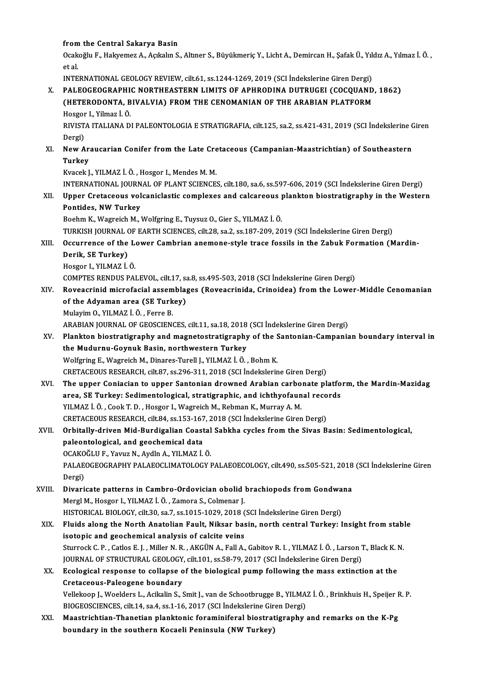# from the Central Sakarya Basin<br>Centra<sup>zh</sup>i E. Halvemer A. Aglialin S

from the Central Sakarya Basin<br>Ocakoğlu F., Hakyemez A., Açıkalın S., Altıner S., Büyükmeriç Y., Licht A., Demircan H., Şafak Ü., Yıldız A., Yılmaz İ. Ö. , from<br>Ocak<br>et al.<br>INTE Ocakoğlu F., Hakyemez A., Açıkalın S., Altıner S., Büyükmeriç Y., Licht A., Demircan H., Şafak Ü., Yıle<br>et al.<br>INTERNATIONAL GEOLOGY REVIEW, cilt.61, ss.1244-1269, 2019 (SCI İndekslerine Giren Dergi)<br>PALEOCEOCRAPHIC NORTHE

et al.<br>INTERNATIONAL GEOLOGY REVIEW, cilt.61, ss.1244-1269, 2019 (SCI İndekslerine Giren Dergi)<br>X. PALEOGEOGRAPHIC NORTHEASTERN LIMITS OF APHRODINA DUTRUGEI (COCQUAND, 1862)<br>CHETERODONTA, BIVALVIA) EROM THE CENOMANIAN OF T INTERNATIONAL GEOLOGY REVIEW, cilt.61, ss.1244-1269, 2019 (SCI İndekslerine Giren Dergi)<br>PALEOGEOGRAPHIC NORTHEASTERN LIMITS OF APHRODINA DUTRUGEI (COCQUAND<br>(HETERODONTA, BIVALVIA) FROM THE CENOMANIAN OF THE ARABIAN PLATFO PALEOGEOGRAPHI<br>(HETERODONTA, B<br>Hosgor I., Yilmaz İ. Ö.<br>PIVISTA ITALIANA P Hosgor I, Yilmaz İ Ö

(HETERODONTA, BIVALVIA) FROM THE CENOMANIAN OF THE ARABIAN PLATFORM<br>Hosgor I., Yilmaz İ. Ö.<br>RIVISTA ITALIANA DI PALEONTOLOGIA E STRATIGRAFIA, cilt.125, sa.2, ss.421-431, 2019 (SCI İndekslerine Giren<br>Dergi) RIVISTA ITALIANA DI PALEONTOLOGIA E STRATIGRAFIA, cilt.125, sa.2, ss.421-431, 2019 (SCI İndekslerine C<br>Dergi)<br>XI. New Araucarian Conifer from the Late Cretaceous (Campanian-Maastrichtian) of Southeastern<br>Turkey

# Dergi)<br>New Ar<br>Turkey<br><sup>Kuasak I</sup> New Araucarian Conifer from the Late Cre<br>Turkey<br>Kvacek J., YILMAZ İ. Ö. , Hosgor I., Mendes M. M.<br>INTERNATIONAL JOURNAL OF PLANT SCIENCE

Turkey<br>Kvacek J., YILMAZ İ. Ö. , Hosgor I., Mendes M. M.<br>INTERNATIONAL JOURNAL OF PLANT SCIENCES, cilt.180, sa.6, ss.597-606, 2019 (SCI İndekslerine Giren Dergi)

Kvacek J., YILMAZ İ. Ö. , Hosgor I., Mendes M. M.<br>INTERNATIONAL JOURNAL OF PLANT SCIENCES, cilt.180, sa.6, ss.597-606, 2019 (SCI İndekslerine Giren Dergi)<br>XII. Upper Cretaceous volcaniclastic complexes and calcareous p Pontides, NW Turkey<br>Boehm K., Wagreich M., Wolfgring E., Tuysuz O., Gier S., YILMAZ İ. Ö. Upper Cretaceous volcaniclastic complexes and calcareous <sub>]</sub><br>Pontides, NW Turkey<br>Boehm K., Wagreich M., Wolfgring E., Tuysuz O., Gier S., YILMAZ İ. Ö.<br>TURKISH JOURNAL OF FARTH SCIENCES si<sup>lt 29</sup>.53.25.187.209.20

TURKISH JOURNAL OF EARTH SCIENCES, cilt.28, sa.2, ss.187-209, 2019 (SCI İndekslerine Giren Dergi)

Boehm K., Wagreich M., Wolfgring E., Tuysuz O., Gier S., YILMAZ İ. Ö.<br>TURKISH JOURNAL OF EARTH SCIENCES, cilt.28, sa.2, ss.187-209, 2019 (SCI İndekslerine Giren Dergi)<br>XIII. Occurrence of the Lower Cambrian anemone-sty TURKISH JOURNAL (<br>Occurrence of the<br>Derik, SE Turkey)<br>Hesser L YU MAZ İ **Occurrence of the L<sup>i</sup><br>Derik, SE Turkey)**<br>Hosgor I., YILMAZ İ.Ö.<br>COMPTES PENDUS PAL Derik, SE Turkey)<br>Hosgor I., YILMAZ İ. Ö.<br>COMPTES RENDUS PALEVOL, cilt.17, sa.8, ss.495-503, 2018 (SCI İndekslerine Giren Dergi)

# XIV. Roveacrinidmicrofacial assemblages (Roveacrinida, Crinoidea) fromthe Lower-Middle Cenomanian COMPTES RENDUS PALEVOL, cilt.17, sa<br>Roveacrinid microfacial assemblag<br>of the Adyaman area (SE Turkey)<br>Mulayim O, VII MAZ İ, Ö, Ferre P Roveacrinid microfacial assem<br>of the Adyaman area (SE Turk<br>Mulayim O., YILMAZ İ.Ö. , Ferre B.<br>ARARIAN IQURNAL OF CEOSCIEN of the Adyaman area (SE Turkey)<br>Mulayim O., YILMAZ İ. Ö. , Ferre B.<br>ARABIAN JOURNAL OF GEOSCIENCES, cilt.11, sa.18, 2018 (SCI İndekslerine Giren Dergi)<br>Plankton biostratisranbu and magnetestratisranbu of the Santanian Camp

- Mulayim O., YILMAZ İ. Ö. , Ferre B.<br>ARABIAN JOURNAL OF GEOSCIENCES, cilt.11, sa.18, 2018 (SCI İndekslerine Giren Dergi)<br>XV. Plankton biostratigraphy and magnetostratigraphy of the Santonian-Campanian boundary interval ARABIAN JOURNAL OF GEOSCIENCES, cilt.11, sa.18, 2018<br>Plankton biostratigraphy and magnetostratigraphy<br>the Mudurnu-Goynuk Basin, northwestern Turkey<br>Welfgring E. Wegreich M. Dinares Turell L. VII MAZ İ. Ö. Plankton biostratigraphy and magnetostratigraphy of the S<br>the Mudurnu-Goynuk Basin, northwestern Turkey<br>Wolfgring E., Wagreich M., Dinares-Turell J., YILMAZ İ.Ö., Bohm K.<br>CRETACEOUS RESEARCH gilt 97, 88,396,311,3019 (SCL İ the Mudurnu-Goynuk Basin, northwestern Turkey<br>Wolfgring E., Wagreich M., Dinares-Turell J., YILMAZ İ. Ö. , Bohm K.<br>CRETACEOUS RESEARCH, cilt.87, ss.296-311, 2018 (SCI İndekslerine Giren Dergi)<br>The unner Conjasian te unner
- Wolfgring E., Wagreich M., Dinares-Turell J., YILMAZ İ. Ö. , Bohm K.<br>CRETACEOUS RESEARCH, cilt.87, ss.296-311, 2018 (SCI İndekslerine Giren Dergi)<br>XVI. The upper Coniacian to upper Santonian drowned Arabian carbonate platf CRETACEOUS RESEARCH, cilt.87, ss.296-311, 2018 (SCI İndekslerine Giren Dergi)<br>The upper Coniacian to upper Santonian drowned Arabian carbonate platfo<br>area, SE Turkey: Sedimentological, stratigraphic, and ichthyofaunal reco YILMAZ İ. Ö., Cook T. D., Hosgor I., Wagreich M., Rebman K., Murray A. M. area, SE Turkey: Sedimentological, stratigraphic, and ichthyofaunal reco<br>YILMAZ İ. Ö. , Cook T. D. , Hosgor I., Wagreich M., Rebman K., Murray A. M.<br>CRETACEOUS RESEARCH, cilt.84, ss.153-167, 2018 (SCI İndekslerine Giren De YILMAZ İ. Ö. , Cook T. D. , Hosgor I., Wagreich M., Rebman K., Murray A. M.<br>CRETACEOUS RESEARCH, cilt.84, ss.153-167, 2018 (SCI İndekslerine Giren Dergi)<br>XVII. Orbitally-driven Mid-Burdigalian Coastal Sabkha cycles from th

# CRETACEOUS RESEARCH, cilt.84, ss.153-167<br>Orbitally-driven Mid-Burdigalian Coast<br>paleontological, and geochemical data Orbitally-driven Mid-Burdigalian Coastal<br>paleontological, and geochemical data<br>OCAKOĞLU F., Yavuz N., Aydln A., YILMAZ İ. Ö.<br>PALAEOGEOSPAPHY PALAEOGLIMATOLOGY I paleontological, and geochemical data<br>OCAKOĞLU F., Yavuz N., Aydln A., YILMAZ İ. Ö.<br>PALAEOGEOGRAPHY PALAEOCLIMATOLOGY PALAEOECOLOGY, cilt.490, ss.505-521, 2018 (SCI İndekslerine Giren<br>Persi) OCAKO<br>PALAE<br>Dergi)<br>Divari

PALAEOGEOGRAPHY PALAEOCLIMATOLOGY PALAEOECOLOGY, cilt.490, ss.505-521, 2018<br>Dergi)<br>XVIII. Divaricate patterns in Cambro-Ordovician obolid brachiopods from Gondwana<br>Merci M. Hosser L. XII MAZ İ. Ö. Zamara S. Colmanar L Dergi)<br>Divaricate patterns in Cambro-Ordovician obolid |<br>Mergl M., Hosgor I., YILMAZ İ. Ö. , Zamora S., Colmenar J.<br>HISTORICAL RIOLOCY silt 30. sa 7. ss 1915-1929-2019 ( Divaricate patterns in Cambro-Ordovician obolid brachiopods from Gondwa<br>Mergl M., Hosgor I., YILMAZ İ. Ö. , Zamora S., Colmenar J.<br>HISTORICAL BIOLOGY, cilt.30, sa.7, ss.1015-1029, 2018 (SCI İndekslerine Giren Dergi)<br>Fluids

# Mergl M., Hosgor I., YILMAZ İ. Ö. , Zamora S., Colmenar J.<br>HISTORICAL BIOLOGY, cilt.30, sa.7, ss.1015-1029, 2018 (SCI İndekslerine Giren Dergi)<br>XIX. Fluids along the North Anatolian Fault, Niksar basin, north central T HISTORICAL BIOLOGY, cilt.30, sa.7, ss.1015-1029, 2018 (<br>Fluids along the North Anatolian Fault, Niksar bas<br>isotopic and geochemical analysis of calcite veins<br>Sturreck C.B., Catles E.J., Miller N.B., AKCÜNA, Fell A Fluids along the North Anatolian Fault, Niksar basin, north central Turkey: Insight from stablisotopic and geochemical analysis of calcite veins<br>Sturrock C. P. , Catlos E. J. , Miller N. R. , AKGÜN A., Fall A., Gabitov R. isotopic and geochemical analysis of calcite veins<br>Sturrock C. P. , Catlos E. J. , Miller N. R. , AKGÜN A., Fall A., Gabitov R. I. , YILMAZ İ. Ö. , Larson T., Black K. N.

JOURNAL OF STRUCTURAL GEOLOGY, cilt.101, ss.58-79, 2017 (SCI Indekslerine Giren Dergi)

# XX. Ecological response to collapse of the biological pump following the mass extinction at the<br>Cretaceous-Paleogene boundary Ecological response to collapse of the biological pump following the mass extinction at the<br>Cretaceous-Paleogene boundary<br>Vellekoop J., Woelders L., Acikalin S., Smit J., van de Schootbrugge B., YILMAZ İ. Ö. , Brinkhuis H.

Cretaceous-Paleogene boundary<br>Vellekoop J., Woelders L., Acikalin S., Smit J., van de Schootbrugge B., YILMA:<br>BIOGEOSCIENCES, cilt.14, sa.4, ss.1-16, 2017 (SCI İndekslerine Giren Dergi)<br>Maastrishtian Thanatian planktania f Vellekoop J., Woelders L., Acikalin S., Smit J., van de Schootbrugge B., YILMAZ İ. Ö. , Brinkhuis H., Speijer F<br>BIOGEOSCIENCES, cilt.14, sa.4, ss.1-16, 2017 (SCI İndekslerine Giren Dergi)<br>XXI. Maastrichtian-Thanetian plank

BIOGEOSCIENCES, cilt.14, sa.4, ss.1-16, 2017 (SCI İndekslerine Gir<br>Maastrichtian-Thanetian planktonic foraminiferal biostrat<br>boundary in the southern Kocaeli Peninsula (NW Turkey)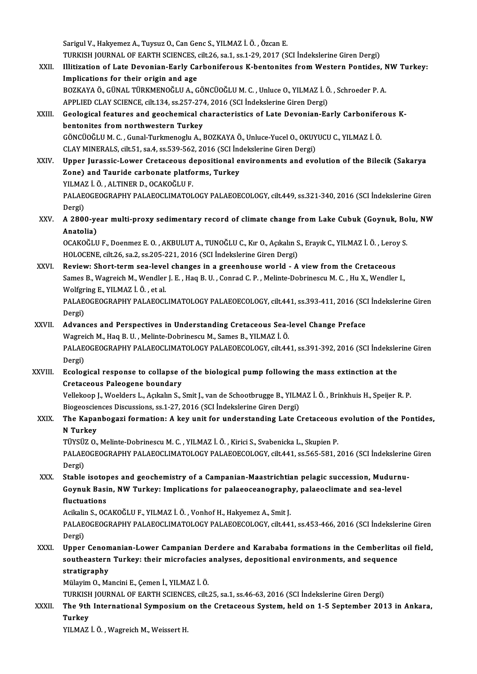Sarigul V., Hakyemez A., Tuysuz O., Can Genc S., YILMAZ İ.Ö., Özcan E. Sarigul V., Hakyemez A., Tuysuz O., Can Genc S., YILMAZ İ. Ö. , Özcan E.<br>TURKISH JOURNAL OF EARTH SCIENCES, cilt.26, sa.1, ss.1-29, 2017 (SCI İndekslerine Giren Dergi)<br>Ulitiration of Late Devenian Farky Carbonifereya K ben XXII. Illitization of Late Devonian-Early Carboniferous K-bentonites from Western Pontides, NW Turkey:<br>Implications for their origin and age TURKISH JOURNAL OF EARTH SCIENCES,<br>Illitization of Late Devonian-Early Ca<br>Implications for their origin and age<br>POZKAYA Ö CÜNAL TÜRKMENOČLUA C Illitization of Late Devonian-Early Carboniferous K-bentonites from Western Pontides, N<br>Implications for their origin and age<br>BOZKAYA Ö., GÜNAL TÜRKMENOĞLU A., GÖNCÜOĞLU M. C. , Unluce O., YILMAZ İ. Ö. , Schroeder P. A.<br>AP Implications for their origin and age<br>BOZKAYA Ö., GÜNAL TÜRKMENOĞLU A., GÖNCÜOĞLU M. C. , Unluce O., YILMAZ İ. Ö<br>APPLIED CLAY SCIENCE, cilt.134, ss.257-274, 2016 (SCI İndekslerine Giren Dergi)<br>Coological foatures and geoch BOZKAYA Ö., GÜNAL TÜRKMENOĞLU A., GÖNCÜOĞLU M. C. , Unluce O., YILMAZ İ. Ö. , Schroeder P. A.<br>APPLIED CLAY SCIENCE, cilt.134, ss.257-274, 2016 (SCI İndekslerine Giren Dergi)<br>XXIII. Geological features and geochemical chara APPLIED CLAY SCIENCE, cilt.134, ss.257-274, 2016 (SCI İndekslerine Giren Dergi)<br>Geological features and geochemical characteristics of Late Devonian-Early Carbonifer<br>bentonites from northwestern Turkey<br>GÖNCÜOĞLU M. C. . Gu Geological features and geochemical characteristics of Late Devonian-Early Carboniferous Kbentonites from northwestern Turkey<br>GÖNCÜOĞLU M. C. , Gunal-Turkmenoglu A., BOZKAYA Ö., Unluce-Yucel O., OKUY<br>CLAY MINERALS, cilt.51, sa.4, ss.539-562, 2016 (SCI İndekslerine Giren Dergi)<br>Unner Jurassis J ower Cretassevy d GÖNCÜOĞLU M. C. , Gunal-Turkmenoglu A., BOZKAYA Ö., Unluce-Yucel O., OKUYUCU C., YILMAZ İ. Ö.<br>CLAY MINERALS, cilt.51, sa.4, ss.539-562, 2016 (SCI İndekslerine Giren Dergi)<br>XXIV. Upper Jurassic-Lower Cretaceous depositional CLAY MINERALS, cilt.51, sa.4, ss.539-562, 2016 (SCI İnc<br>Upper Jurassic-Lower Cretaceous depositional e<br>Zone) and Tauride carbonate platforms, Turkey<br>VILMAZ İ.Ö., ALTINER D. OCAKOĞLU E Upper Jurassic-Lower Cretaceous d<br>Zone) and Tauride carbonate platfo<br>YILMAZ İ. Ö. , ALTINER D., OCAKOĞLU F.<br>PALAEOCEOCRAPHY PALAEOCLIMATOL Zone) and Tauride carbonate platforms, Turkey<br>YILMAZ İ. Ö. , ALTINER D., OCAKOĞLU F.<br>PALAEOGEOGRAPHY PALAEOCLIMATOLOGY PALAEOECOLOGY, cilt.449, ss.321-340, 2016 (SCI İndekslerine Giren<br>Persi) YILMA<br>PALAE<br>Dergi)<br>A 2904 PALAEOGEOGRAPHY PALAEOCLIMATOLOGY PALAEOECOLOGY, cilt.449, ss.321-340, 2016 (SCI İndekslerine Giren<br>Dergi)<br>XXV. A 2800-year multi-proxy sedimentary record of climate change from Lake Cubuk (Goynuk, Bolu, NW Dergi)<br>A 2800-ye<br>Anatolia)<br>OCAKOČU A 2800-year multi-proxy sedimentary record of climate change from Lake Cubuk (Goynuk, Bo<br>Anatolia)<br>OCAKOĞLU F., Doenmez E. O. , AKBULUT A., TUNOĞLU C., Kır O., Açıkalın S., Erayık C., YILMAZ İ. Ö. , Leroy S.<br>HOLOGENE silt Anatolia)<br>OCAKOĞLU F., Doenmez E. O. , AKBULUT A., TUNOĞLU C., Kır O., Açıkalın S., Erayık C., YILMAZ İ. Ö. , Leroy S.<br>HOLOCENE, cilt.26, sa.2, ss.205-221, 2016 (SCI İndekslerine Giren Dergi) OCAKOĞLU F., Doenmez E. O. , AKBULUT A., TUNOĞLU C., Kır O., Açıkalın S., Erayık C., YILMAZ İ. Ö. , Lero<br>HOLOCENE, cilt.26, sa.2, ss.205-221, 2016 (SCI İndekslerine Giren Dergi)<br>XXVI. Review: Short-term sea-level changes i HOLOCENE, cilt.26, sa.2, ss.205-221, 2016 (SCI İndekslerine Giren Dergi)<br>Review: Short-term sea-level changes in a greenhouse world - A view from the Cretaceous<br>Sames B., Wagreich M., Wendler J. E. , Haq B. U. , Conrad C. Review: Short-term sea-leve<br>Sames B., Wagreich M., Wendler<br>Wolfgring E., YILMAZ İ. Ö. , et al.<br>PALAEOCEOCPAPHY PALAEOCL Sames B., Wagreich M., Wendler J. E. , Haq B. U. , Conrad C. P. , Melinte-Dobrinescu M. C. , Hu X., Wendler I.,<br>Wolfgring E., YILMAZ İ. Ö. , et al.<br>PALAEOGEOGRAPHY PALAEOCLIMATOLOGY PALAEOECOLOGY, cilt.441, ss.393-411, 201 Wolfgr<br>PALAE<br>Dergi)<br>Advan PALAEOGEOGRAPHY PALAEOCLIMATOLOGY PALAEOECOLOGY, cilt.441, ss.393-411, 2016 (SC.<br>Dergi)<br>XXVII. Advances and Perspectives in Understanding Cretaceous Sea-level Change Preface Dergi)<br><mark>Advances and Perspectives in Understanding Cretaceous Sea-</mark><br>Wagreich M., Haq B. U. , Melinte-Dobrinescu M., Sames B., YILMAZ İ. Ö.<br>BALAEOCEOCRAPHY BALAEOCLIMATOLOCY BALAEOECOLOCY, silt 44 Advances and Perspectives in Understanding Cretaceous Sea-level Change Preface<br>Wagreich M., Haq B. U. , Melinte-Dobrinescu M., Sames B., YILMAZ İ. Ö.<br>PALAEOGEOGRAPHY PALAEOCLIMATOLOGY PALAEOECOLOGY, cilt.441, ss.391-392, 2 Wagrei<br>PALAE<br>Dergi)<br>Eseles PALAEOGEOGRAPHY PALAEOCLIMATOLOGY PALAEOECOLOGY, cilt.441, ss.391-392, 2016 (SCI İndeksle<br>Dergi)<br>XXVIII. Ecological response to collapse of the biological pump following the mass extinction at the<br>Cratagogue Palagogue boun Dergi)<br>Ecological response to collapse c<br>Cretaceous Paleogene boundary<br>Vellakeen L.Weelders L. Askalin S. ( Ecological response to collapse of the biological pump following the mass extinction at the<br>Cretaceous Paleogene boundary<br>Vellekoop J., Woelders L., Açıkalın S., Smit J., van de Schootbrugge B., YILMAZ İ. Ö. , Brinkhuis H. Cretaceous Paleogene boundary<br>Vellekoop J., Woelders L., Açıkalın S., Smit J., van de Schootbrugge B., YILM<br>Biogeosciences Discussions, ss.1-27, 2016 (SCI İndekslerine Giren Dergi)<br>The Kananbegari formation: A key unit for Vellekoop J., Woelders L., Açıkalın S., Smit J., van de Schootbrugge B., YILMAZ İ. Ö. , Brinkhuis H., Speijer R. P.<br>Biogeosciences Discussions, ss.1-27, 2016 (SCI İndekslerine Giren Dergi)<br>XXIX. The Kapanbogazi formation: Biogeoscie<br>The Kapar<br>N Turkey<br>Tüvcüz O The Kapanbogazi formation: A key unit for understanding Late Cretaceous<br>N Turkey<br>TÜYSÜZ O., Melinte-Dobrinescu M. C. , YILMAZ İ. Ö. , Kirici S., Svabenicka L., Skupien P.<br>PALAEOGEOGRAPHY PALAEOGLIMATOLOGY PALAEOEGU OGY sil N Turkey<br>TÜYSÜZ O., Melinte-Dobrinescu M. C. , YILMAZ İ. Ö. , Kirici S., Svabenicka L., Skupien P.<br>PALAEOGEOGRAPHY PALAEOCLIMATOLOGY PALAEOECOLOGY, cilt.441, ss.565-581, 2016 (SCI İndekslerine Giren<br>Dergi) TÜYSÜZ O., Melinte-Dobrinescu M. C., YILMAZ İ. Ö., Kirici S., Svabenicka L., Skupien P. PALAEOGEOGRAPHY PALAEOCLIMATOLOGY PALAEOECOLOGY, cilt.441, ss.565-581, 2016 (SCI İndekslerine<br>Dergi)<br>XXX. Stable isotopes and geochemistry of a Campanian-Maastrichtian pelagic succession, Mudurnu-<br>Counuk Basin, NW Turkov, Dergi)<br>Stable isotopes and geochemistry of a Campanian-Maastrichtian pelagic succession, Mudurn<br>Goynuk Basin, NW Turkey: Implications for palaeoceanography, palaeoclimate and sea-level<br>fluctuations Stable isoto<sub>l</sub><br>Goynuk Basi<br>fluctuations Goynuk Basin, NW Turkey: Implications for palaeoceanograph<br>fluctuations<br>Acikalin S., OCAKOĞLU F., YILMAZ İ. Ö. , Vonhof H., Hakyemez A., Smit J.<br>PALAEOCEOCRAPHY PALAEOCLIMATOLOCY PALAEOECOLOCY .cilt 44. fluctuations<br>Acikalin S., OCAKOĞLU F., YILMAZ İ. Ö. , Vonhof H., Hakyemez A., Smit J.<br>PALAEOGEOGRAPHY PALAEOCLIMATOLOGY PALAEOECOLOGY, cilt.441, ss.453-466, 2016 (SCI İndekslerine Giren<br>Persi) Acikalii<br>PALAE<br>Dergi)<br>Unner PALAEOGEOGRAPHY PALAEOCLIMATOLOGY PALAEOECOLOGY, cilt.441, ss.453-466, 2016 (SCI Indekslerine Giren<br>Dergi)<br>XXXI. Upper Cenomanian-Lower Campanian Derdere and Karababa formations in the Cemberlitas oil field,<br>southerstern T Dergi)<br>Upper Cenomanian-Lower Campanian Derdere and Karababa formations in the Cemberlitas<br>southeastern Turkey: their microfacies analyses, depositional environments, and sequence<br>stratisnaphy Upper Ceno<mark>n</mark><br>southeastern<br>stratigraphy<br>Mülavim O. Me southeastern Turkey: their microfacies<br>stratigraphy<br>Mülayim O., Mancini E., Çemen İ., YILMAZ İ. Ö.<br>TURKISH JOURNAL OE EARTH SCIENCES silt stratigraphy<br>Mülayim O., Mancini E., Çemen İ., YILMAZ İ. Ö.<br>TURKISH JOURNAL OF EARTH SCIENCES, cilt.25, sa.1, ss.46-63, 2016 (SCI İndekslerine Giren Dergi)<br>The 9th International Sumnegium on the Cretaceeus System, held en Mülayim O., Mancini E., Çemen İ., YILMAZ İ. Ö.<br>TURKISH JOURNAL OF EARTH SCIENCES, cilt.25, sa.1, ss.46-63, 2016 (SCI İndekslerine Giren Dergi)<br>XXXII. The 9th International Symposium on the Cretaceous System, held on 1-TURKISH<br>The 9th<br>Turkey<br><sup>VII MA7</sup>

YILMAZ İ. Ö., Wagreich M., Weissert H.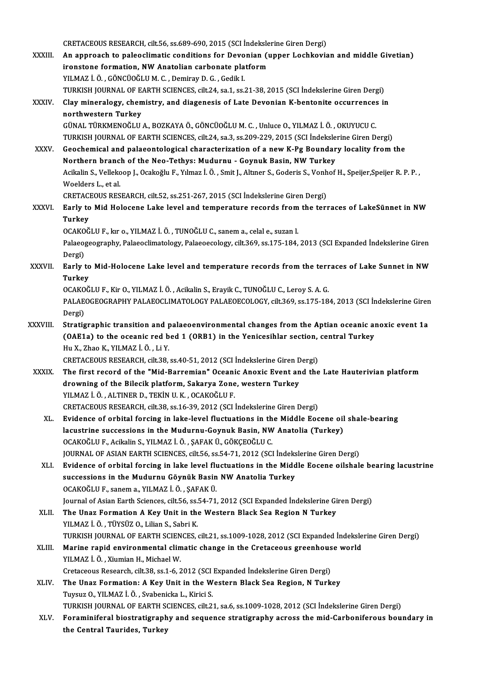CRETACEOUS RESEARCH, cilt.56, ss.689-690, 2015 (SCI İndekslerine Giren Dergi)<br>An annusask ta palaselimetis sanditions fan Devanian (unner Laskhovis

XXXIII. An approach to paleoclimatic conditions for Devonian (upper Lochkovian and middle Givetian) CRETACEOUS RESEARCH, cilt.56, ss.689-690, 2015 (SCI İndeksle<br>An approach to paleoclimatic conditions for Devonian (in<br>ironstone formation, NW Anatolian carbonate platform<br>VII MAZ İ.Ö. CÖNCÜQĞLUM G. Deminav D.G. Cedil L ironstone formation, NW Anatolian carbonate platform<br>YILMAZ İ.Ö., GÖNCÜOĞLUM.C., Demiray D.G., Gedik I. ironstone formation, NW Anatolian carbonate platform<br>YILMAZ İ. Ö. , GÖNCÜOĞLU M. C. , Demiray D. G. , Gedik I.<br>TURKISH JOURNAL OF EARTH SCIENCES, cilt.24, sa.1, ss.21-38, 2015 (SCI İndekslerine Giren Dergi)<br>Clay minoralogy YILMAZ İ. Ö. , GÖNCÜOĞLU M. C. , Demiray D. G. , Gedik I.<br>TURKISH JOURNAL OF EARTH SCIENCES, cilt.24, sa.1, ss.21-38, 2015 (SCI İndekslerine Giren Dergi)<br>XXXIV. Clay mineralogy, chemistry, and diagenesis of Late Devoni TURKISH JOURNAL OF E<br>Clay mineralogy, chen<br>northwestern Turkey<br>CÜNAL TÜRKMENOĞLU Clay mineralogy, chemistry, and diagenesis of Late Devonian K-bentonite occurrences<br>northwestern Turkey<br>GÜNAL TÜRKMENOĞLU A., BOZKAYA Ö., GÖNCÜOĞLU M. C. , Unluce O., YILMAZ İ. Ö. , OKUYUCU C.<br>TURKISH JOURNAL OF FARTH SCIE northwestern Turkey<br>GÜNAL TÜRKMENOĞLU A., BOZKAYA Ö., GÖNCÜOĞLU M. C. , Unluce O., YILMAZ İ. Ö. , OKUYUCU C.<br>TURKISH JOURNAL OF EARTH SCIENCES, cilt.24, sa.3, ss.209-229, 2015 (SCI İndekslerine Giren Dergi) GÜNAL TÜRKMENOĞLU A., BOZKAYA Ö., GÖNCÜOĞLU M. C. , Unluce O., YILMAZ İ. Ö. , OKUYUCU C.<br>TURKISH JOURNAL OF EARTH SCIENCES, cilt.24, sa.3, ss.209-229, 2015 (SCI İndekslerine Giren Dergi)<br>XXXV. Geochemical and palaeontologi TURKISH JOURNAL OF EARTH SCIENCES, cilt.24, sa.3, ss.209-229, 2015 (SCI İndeksle<br>Geochemical and palaeontological characterization of a new K-Pg Boundar<br>Northern branch of the Neo-Tethys: Mudurnu - Goynuk Basin, NW Turkey<br> Geochemical and palaeontological characterization of a new K-Pg Boundary locality from the<br>Northern branch of the Neo-Tethys: Mudurnu - Goynuk Basin, NW Turkey<br>Acikalin S., Vellekoop J., Ocakoğlu F., Yılmaz İ. Ö. , Smit J. Northern branch of the Neo-Tethys: Mudurnu - Goynuk Basin, NW Turkey<br>Acikalin S., Vellekoop J., Ocakoğlu F., Yılmaz İ. Ö. , Smit J., Altıner S., Goderis S., Vonhof H., Speijer,Speijer R. P. P. ,<br>Woelders L., et al. Acikalin S., Vellekoop J., Ocakoğlu F., Yılmaz İ. Ö. , Smit J., Altıner S., Goderis S., Vonh<br>Woelders L., et al.<br>CRETACEOUS RESEARCH, cilt.52, ss.251-267, 2015 (SCI İndekslerine Giren Dergi)<br>Farly te Mid Helesene Lake leve Woelders L., et al.<br>CRETACEOUS RESEARCH, cilt.52, ss.251-267, 2015 (SCI İndekslerine Giren Dergi)<br>XXXVI. Early to Mid Holocene Lake level and temperature records from the terraces of LakeSünnet in NW<br>Turkey CRETACI<br><mark>Early to</mark><br>Turkey<br>OCAKOČ Early to Mid Holocene Lake level and temperature records from<br>Turkey<br>OCAKOĞLU F., kır o., YILMAZ İ.Ö. , TUNOĞLU C., sanem a., celal e., suzan l.<br>Pelseoggegraphy. Pelseoglimatelegy. Pelseoggelegy. silt 360. se 175-184. Turkey<br>OCAKOĞLU F., kır o., YILMAZ İ. Ö. , TUNOĞLU C., sanem a., celal e., suzan l.<br>Palaeogeography, Palaeoclimatology, Palaeoecology, cilt.369, ss.175-184, 2013 (SCI Expanded İndekslerine Giren<br>Dergi) OCAKOĞLU F., kır o., YILMAZ İ. Ö., TUNOĞLU C., sanem a., celal e., suzan l. Palaeogeography, Palaeoclimatology, Palaeoecology, cilt.369, ss.175-184, 2013 (SCI Expanded İndekslerine Giren<br>Dergi)<br>XXXVII. Early to Mid-Holocene Lake level and temperature records from the terraces of Lake Sunnet in NW Dergi)<br><mark>Early to</mark><br>Turkey<br>OCAKOČ Early to Mid-Holocene Lake level and temperature records from the terr<br>Turkey<br>OCAKOĞLU F., Kir O., YILMAZ İ. Ö. , Acikalin S., Erayik C., TUNOĞLU C., Leroy S. A. G.<br>PALAEOCEOCRAPHY PALAEOCLIMATOLOCY PALAEOECOLOCY silt 360-Turkey<br>OCAKOĞLU F., Kir O., YILMAZ İ. Ö. , Acikalin S., Erayik C., TUNOĞLU C., Leroy S. A. G.<br>PALAEOGEOGRAPHY PALAEOCLIMATOLOGY PALAEOECOLOGY, cilt.369, ss.175-184, 2013 (SCI İndekslerine Giren<br>Persi) OCAKO<br>PALAE<br>Dergi)<br>Stratio PALAEOGEOGRAPHY PALAEOCLIMATOLOGY PALAEOECOLOGY, cilt.369, ss.175-184, 2013 (SCI Indekslerine Giren<br>Dergi)<br>XXXVIII. Stratigraphic transition and palaeoenvironmental changes from the Aptian oceanic anoxic event 1a<br>(OAE1a) t Dergi)<br>Stratigraphic transition and palaeoenvironmental changes from the Aptian oceanic al<br>(OAE1a) to the oceanic red bed 1 (ORB1) in the Yenicesihlar section, central Turkey<br>Hu Y. Zhae K. VII MAZ İ. Ö. Li Y. Stratigraphic transition and p<br>(OAE1a) to the oceanic red b<br>Hu X., Zhao K., YILMAZ İ.Ö., Li Y.<br>CPETACEOUS PESEAPCH silt 29 (OAE1a) to the oceanic red bed 1 (ORB1) in the Yenicesihlar section, central Turkey<br>Hu X., Zhao K., YILMAZ İ. Ö. , Li Y.<br>CRETACEOUS RESEARCH, cilt.38, ss.40-51, 2012 (SCI İndekslerine Giren Dergi) Hu X., Zhao K., YILMAZ İ. Ö. , Li Y.<br>CRETACEOUS RESEARCH, cilt.38, ss.40-51, 2012 (SCI İndekslerine Giren Dergi)<br>XXXIX. The first record of the "Mid-Barremian" Oceanic Anoxic Event and the Late Hauterivian platform CRETACEOUS RESEARCH, cilt.38, ss.40-51, 2012 (SCI İndekslerine Giren D<br>The first record of the "Mid-Barremian" Oceanic Anoxic Event an<br>drowning of the Bilecik platform, Sakarya Zone, western Turkey<br>VILMAZ İ.Ö. ALTINER D. T The first record of the "Mid-Barremian" Oceani<br>drowning of the Bilecik platform, Sakarya Zone<br>YILMAZ İ. Ö. , ALTINER D., TEKİN U.K. , OCAKOĞLU F.<br>CRETACEOUS RESEARCH sil: 29, 83,16, 29, 2012 (SCL) drowning of the Bilecik platform, Sakarya Zone, western Turkey<br>YILMAZ İ. Ö., ALTINER D., TEKİN U. K., OCAKOĞLU F.<br>CRETACEOUS RESEARCH, cilt.38, ss.16-39, 2012 (SCI İndekslerine Giren Dergi) YILMAZ İ. Ö., ALTINER D., TEKİN U. K., OCAKOĞLU F.<br>CRETACEOUS RESEARCH, cilt.38, ss.16-39, 2012 (SCI İndekslerine Giren Dergi)<br>XL. Evidence of orbital forcing in lake-level fluctuations in the Middle Eocene oil shale-beari CRETACEOUS RESEARCH, cilt.38, ss.16-39, 2012 (SCI İndekslerine Giren Dergi)<br>Evidence of orbital forcing in lake-level fluctuations in the Middle Eocene oil<br>lacustrine successions in the Mudurnu-Goynuk Basin, NW Anatolia (T Evidence of orbital forcing in lake-level fluctuations in th<br>lacustrine successions in the Mudurnu-Goynuk Basin, NW<br>OCAKOĞLU F., Acikalin S., YILMAZ İ.Ö., ŞAFAK Ü., GÖKÇEOĞLU C.<br>JOUPNAL OF ASIAN FARTH SCIENCES, silt 56, se lacustrine successions in the Mudurnu-Goynuk Basin, NW Anatolia (Turkey)<br>OCAKOĞLU F., Acikalin S., YILMAZ İ. Ö. , ŞAFAK Ü., GÖKÇEOĞLU C.<br>JOURNAL OF ASIAN EARTH SCIENCES, cilt.56, ss.54-71, 2012 (SCI İndekslerine Giren Derg XLI. Evidence of orbital forcing in lake level fluctuations in the Middle Eocene oilshale bearing lacustrine successions in the Mudurnu Göynük Basin NW Anatolia Turkey OCAKOĞLUF., sanema.,YILMAZ İ.Ö. ,ŞAFAKÜ. Journal of Asian Earth Sciences, cilt.56, ss.54-71, 2012 (SCI Expanded Indekslerine Giren Dergi) OCAKOĞLU F., sanem a., YILMAZ İ. Ö. , ŞAFAK Ü.<br>Journal of Asian Earth Sciences, cilt.56, ss.54-71, 2012 (SCI Expanded İndekslerine Gi<br>XLII. The Unaz Formation A Key Unit in the Western Black Sea Region N Turkey<br>VILMAZ Journal of Asian Earth Sciences, cilt.56, ss.<br>The Unaz Formation A Key Unit in the<br>YILMAZ İ. Ö. , TÜYSÜZ O., Lilian S., Sabri K.<br>TURKISH JOURNAL OF FARTH SCIENCES The Unaz Formation A Key Unit in the Western Black Sea Region N Turkey<br>YILMAZ İ. Ö. , TÜYSÜZ O., Lilian S., Sabri K.<br>TURKISH JOURNAL OF EARTH SCIENCES, cilt.21, ss.1009-1028, 2012 (SCI Expanded İndekslerine Giren Dergi)<br>Ma YILMAZ İ. Ö. , TÜYSÜZ O., Lilian S., Sabri K.<br>TURKISH JOURNAL OF EARTH SCIENCES, cilt.21, ss.1009-1028, 2012 (SCI Expanded İndeksle<br>XLIII. Marine rapid environmental climatic change in the Cretaceous greenhouse world<br>VILMA TURKISH JOURNAL OF EARTH SCIEN<br>Marine rapid environmental clim<br>YILMAZ İ. Ö. , Xiumian H., Michael W.<br>Cratageous Besearsh eilt 29 es 1 6 ? Marine rapid environmental climatic change in the Cretaceous greenhous<br>YILMAZ İ. Ö., Xiumian H., Michael W.<br>Cretaceous Research, cilt.38, ss.1-6, 2012 (SCI Expanded İndekslerine Giren Dergi)<br>The Unex Fermation: A Key Unit YILMAZ İ. Ö. , Xiumian H., Michael W.<br>Cretaceous Research, cilt.38, ss.1-6, 2012 (SCI Expanded İndekslerine Giren Dergi)<br>XLIV. The Unaz Formation: A Key Unit in the Western Black Sea Region, N Turkey<br>Tuysuz O., YILMAZ Cretaceous Research, cilt.38, ss.1-6, 2012 (SCI Expanded İndekslerine Giren Dergi) TURKISH JOURNAL OF EARTH SCIENCES, cilt.21, sa.6, ss.1009-1028, 2012 (SCI İndekslerine Giren Dergi) Tuysuz O., YILMAZ İ. Ö. , Svabenicka L., Kirici S.<br>TURKISH JOURNAL OF EARTH SCIENCES, cilt.21, sa.6, ss.1009-1028, 2012 (SCI İndekslerine Giren Dergi)<br>XLV. Foraminiferal biostratigraphy and sequence stratigraphy across TURKISH JOURNAL OF EARTH S<br>Foraminiferal biostratigraph<br>the Central Taurides, Turkey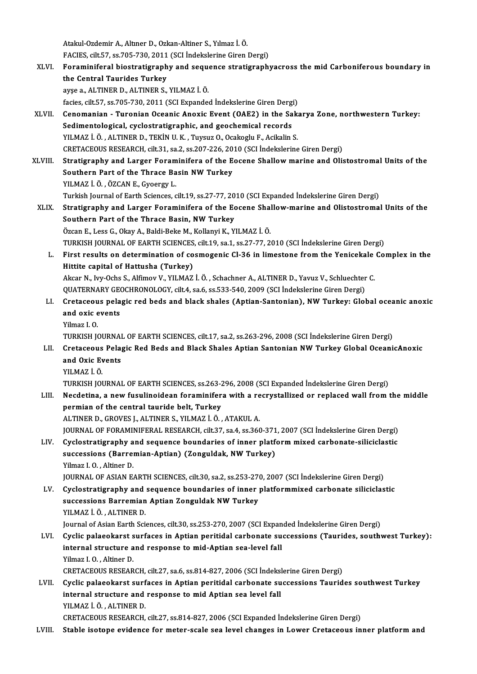Atakul-OzdemirA.,AltınerD.,Ozkan-Altiner S.,Yılmaz İ.Ö. Atakul-Ozdemir A., Altıner D., Ozkan-Altiner S., Yılmaz İ. Ö.<br>FACIES, cilt.57, ss.705-730, 2011 (SCI İndekslerine Giren Dergi)<br>Fonaminifaral biostratisranbu and sasuanse stratisranbı

XLVI. Foraminiferal biostratigraphy and sequence stratigraphyacross themid Carboniferous boundary in FACIES, cilt.57, ss.705-730, 2011<br>Foraminiferal biostratigraph<br>the Central Taurides Turkey ayşe a.,ALTINERD.,ALTINERS.,YILMAZ İ.Ö. facies, cilt.57, ss.705-730, 2011 (SCI Expanded Indekslerine Giren Dergi)

- ayşe a., ALTINER D., ALTINER S., YILMAZ İ. Ö.<br>facies, cilt.57, ss.705-730, 2011 (SCI Expanded İndekslerine Giren Dergi)<br>XLVII. Cenomanian Turonian Oceanic Anoxic Event (OAE2) in the Sakarya Zone, northwestern Turkey: facies, cilt.57, ss.705-730, 2011 (SCI Expanded Indekslerine Giren Dergi<br>Cenomanian - Turonian Oceanic Anoxic Event (OAE2) in the Sa<br>Sedimentological, cyclostratigraphic, and geochemical records<br>VII MAZI Ö. ALTINER D. TEKİ Cenomanian - Turonian Oceanic Anoxic Event (OAE2) in the Saks<br>Sedimentological, cyclostratigraphic, and geochemical records<br>YILMAZ İ. Ö., ALTINER D., TEKİNU.K., Tuysuz O., Ocakoglu F., Acikalin S.<br>CRETACEOUS RESEARCH silt Sedimentological, cyclostratigraphic, and geochemical records<br>YILMAZ İ. Ö. , ALTINER D., TEKİN U. K. , Tuysuz O., Ocakoglu F., Acikalin S.<br>CRETACEOUS RESEARCH, cilt.31, sa.2, ss.207-226, 2010 (SCI İndekslerine Giren Dergi) YILMAZ İ. Ö. , ALTINER D., TEKİN U. K. , Tuysuz O., Ocakoglu F., Acikalin S.<br>CRETACEOUS RESEARCH, cilt.31, sa.2, ss.207-226, 2010 (SCI İndekslerine Giren Dergi)<br>XLVIII. Stratigraphy and Larger Foraminifera of the Eocene Sh
- CRETACEOUS RESEARCH, cilt.31, sa.2, ss.207-226, 20<br>Stratigraphy and Larger Foraminifera of the E<br>Southern Part of the Thrace Basin NW Turkey<br>VILMAZ LÖ ÖZCANE CYGOTTY L Stratigraphy and Larger Foram<br>Southern Part of the Thrace Ba<br>YILMAZ İ. Ö. , ÖZCAN E., Gyoergy L.<br>Turkich Journal of Farth Sciences a Southern Part of the Thrace Basin NW Turkey<br>YILMAZ İ. Ö. , ÖZCAN E., Gyoergy L.<br>Turkish Journal of Earth Sciences, cilt.19, ss.27-77, 2010 (SCI Expanded İndekslerine Giren Dergi)<br>Stratisranhy and Larger Fereminifere of the

YILMAZ İ. Ö. , ÖZCAN E., Gyoergy L.<br>Turkish Journal of Earth Sciences, cilt.19, ss.27-77, 2010 (SCI Expanded İndekslerine Giren Dergi)<br>XLIX. Stratigraphy and Larger Foraminifera of the Eocene Shallow-marine and Olistostrom Turkish Journal of Earth Sciences, cilt.19, ss.27-77, 20<br>Stratigraphy and Larger Foraminifera of the Ec<br>Southern Part of the Thrace Basin, NW Turkey<br>Özgən E. Lees G. Olmu A. Baki Baka M. Kallanu K. Y. Stratigraphy and Larger Foraminifera of the Eocene Shal<br>Southern Part of the Thrace Basin, NW Turkey<br>Özcan E., Less G., Okay A., Baldi-Beke M., Kollanyi K., YILMAZ İ. Ö.<br>TURKISH JOURNAL OF FARTH SCIENCES, silt 19, sa 1, sa Southern Part of the Thrace Basin, NW Turkey<br>Özcan E., Less G., Okay A., Baldi-Beke M., Kollanyi K., YILMAZ İ. Ö.<br>TURKISH JOURNAL OF EARTH SCIENCES, cilt.19, sa.1, ss.27-77, 2010 (SCI İndekslerine Giren Dergi)

Özcan E., Less G., Okay A., Baldi-Beke M., Kollanyi K., YILMAZ İ. Ö.<br>TURKISH JOURNAL OF EARTH SCIENCES, cilt.19, sa.1, ss.27-77, 2010 (SCI İndekslerine Giren Dergi)<br>L. First results on determination of cosmogenic Cl-36 in TURKISH JOURNAL OF EARTH SCIENCES<br>First results on determination of co<br>Hittite capital of Hattusha (Turkey) First results on determination of cosmogenic Cl-36 in limestone from the Yenicekale<br>Hittite capital of Hattusha (Turkey)<br>Akcar N., Ivy-Ochs S., Alfimov V., YILMAZ İ.Ö. , Schachner A., ALTINER D., Yavuz V., Schluechter C.<br>Q

Hittite capital of Hattusha (Turkey)<br>Akcar N., Ivy-Ochs S., Alfimov V., YILMAZ İ. Ö. , Schachner A., ALTINER D., Yavuz V., Schluechter C.<br>QUATERNARY GEOCHRONOLOGY, cilt.4, sa.6, ss.533-540, 2009 (SCI İndekslerine Giren Der

- Akcar N., Ivy-Ochs S., Alfimov V., YILMAZ İ. Ö. , Schachner A., ALTINER D., Yavuz V., Schluechter C.<br>QUATERNARY GEOCHRONOLOGY, cilt.4, sa.6, ss.533-540, 2009 (SCI İndekslerine Giren Dergi)<br>LI. Cretaceous pelagic red beds a QUATERNARY GEONER<br>Cretaceous pela<br>and oxic events<br>Vilmaz L.O Cretaceou<br>and oxic e<br>Yilmaz I. O.<br>TURKISH IC and oxic events<br>Yilmaz I. O.<br>TURKISH JOURNAL OF EARTH SCIENCES, cilt.17, sa.2, ss.263-296, 2008 (SCI İndekslerine Giren Dergi)<br>Cretaseous Belagis Bod Bods and Blask Shales Antian Santonian NW Turkey Clabel Oseani
	-

- Yilmaz I. O.<br>TURKISH JOURNAL OF EARTH SCIENCES, cilt.17, sa.2, ss.263-296, 2008 (SCI İndekslerine Giren Dergi)<br>LII. Cretaceous Pelagic Red Beds and Black Shales Aptian Santonian NW Turkey Global OceanicAnoxic<br>and Oxic TURKISH JOURNAI<br>Cretaceous Pela<sub>l</sub><br>and Oxic Events<br><sup>VII MA7 i Ö</sub></sup> and Oxic Events<br>YILMAZ İ. Ö.<br>TURKISH JOURNAL OF EARTH SCIENCES, ss.263-296, 2008 (SCI Expanded İndekslerine Giren Dergi)<br>Negdetine, a nav fusulineidean foraminifere with a negwetalliged en repleged well from t
	- YILMAZ İ.Ö.

- YILMAZ İ. Ö.<br>TURKISH JOURNAL OF EARTH SCIENCES, ss.263-296, 2008 (SCI Expanded İndekslerine Giren Dergi)<br>LIII. Necdetina, a new fusulinoidean foraminifera with a recrystallized or replaced wall from the middle<br>normian of t TURKISH JOURNAL OF EARTH SCIENCES, ss.263-2<br>Necdetina, a new fusulinoidean foraminifer<br>permian of the central tauride belt, Turkey<br>ALTINED D. CROVES L.ALTINED S. VILMAZ L.Ö Necdetina, a new fusulinoidean foraminifera with a re<br>permian of the central tauride belt, Turkey<br>ALTINER D., GROVES J., ALTINER S., YILMAZ İ.Ö., ATAKUL A.<br>JOUPMAL OF FORAMINIEERAL RESEARCH silt 27, 28,4, 28,260 permian of the central tauride belt, Turkey<br>ALTINER D., GROVES J., ALTINER S., YILMAZ İ. Ö. , ATAKUL A.<br>JOURNAL OF FORAMINIFERAL RESEARCH, cilt.37, sa.4, ss.360-371, 2007 (SCI İndekslerine Giren Dergi)<br>Cyclostratisraphy an
	-

ALTINER D., GROVES J., ALTINER S., YILMAZ İ. Ö., ATAKUL A.<br>JOURNAL OF FORAMINIFERAL RESEARCH, cilt.37, sa.4, ss.360-371, 2007 (SCI İndekslerine Giren Dergi)<br>LIV. Cyclostratigraphy and sequence boundaries of inner platform JOURNAL OF FORAMINIFERAL RESEARCH, cilt.37, sa.4, ss.360-371<br>Cyclostratigraphy and sequence boundaries of inner platf<br>successions (Barremian-Aptian) (Zonguldak, NW Turkey)<br><sup>Vilmor L</sup>.O., Altinor D. LIV. Cyclostratigraphy and sequence boundaries of inner platform mixed carbonate-siliciclastic<br>successions (Barremian-Aptian) (Zonguldak, NW Turkey)<br>Yilmaz I.O., Altiner D. successions (Barremian-Aptian) (Zonguldak, NW Turkey)<br>Yilmaz I. O. , Altiner D.<br>JOURNAL OF ASIAN EARTH SCIENCES, cilt.30, sa.2, ss.253-270, 2007 (SCI İndekslerine Giren Dergi)<br>Cyclostratigraphy and sequence boundaries of i

LV. Cyclostratigraphy and sequence boundaries of inner platformmixed carbonate siliciclastic JOURNAL OF ASIAN EARTH SCIENCES, cilt.30, sa.2, ss.253-27<br>Cyclostratigraphy and sequence boundaries of inner<br>successions Barremian Aptian Zonguldak NW Turkey<br>YU MAZ İ Ö. ALTINER D

YILMAZ İ.Ö. ,ALTINERD.

successions Barremian Aptian Zonguldak NW Turkey<br>YILMAZ İ. Ö. , ALTINER D.<br>Journal of Asian Earth Sciences, cilt.30, ss.253-270, 2007 (SCI Expanded İndekslerine Giren Dergi)<br>Cyclis palaeokaret surfases in Antian peritidal

YILMAZ İ. Ö. , ALTINER D.<br>Journal of Asian Earth Sciences, cilt.30, ss.253-270, 2007 (SCI Expanded İndekslerine Giren Dergi)<br>LVI. Cyclic palaeokarst surfaces in Aptian peritidal carbonate successions (Taurides, southwe Journal of Asian Earth Sciences, cilt.30, ss.253-270, 2007 (SCI Expanding Cyclic palaeokarst surfaces in Aptian peritidal carbonate surfaces in Aptian sea-level fall<br>internal structure and response to mid-Aptian sea-level Cyclic palaeokarst s<br>internal structure a<br>Yilmaz I.O. , Altiner D.<br>CRETACEOUS RESEAR internal structure and response to mid-Aptian sea-level fall<br>Yilmaz I. O. , Altiner D.<br>CRETACEOUS RESEARCH, cilt.27, sa.6, ss.814-827, 2006 (SCI İndekslerine Giren Dergi)

LVII. Cyclic palaeokarst surfaces in Aptian peritidal carbonate successions Taurides southwest Turkey CRETACEOUS RESEARCH, cilt.27, sa.6, ss.814-827, 2006 (SCI İndeks<br>Cyclic palaeokarst surfaces in Aptian peritidal carbonate su<br>internal structure and response to mid Aptian sea level fall<br>VILMAZI ÖLALTINER D Cyclic palaeokarst surf<br>internal structure and<br>YILMAZ İ. Ö. , ALTINER D.<br>CPETACEOUS PESEARCH YILMAZ İ. Ö. , ALTINER D.<br>CRETACEOUS RESEARCH, cilt.27, ss.814-827, 2006 (SCI Expanded İndekslerine Giren Dergi)

LVIII. Stable isotope evidence for meter-scale sea level changes in Lower Cretaceous inner platform and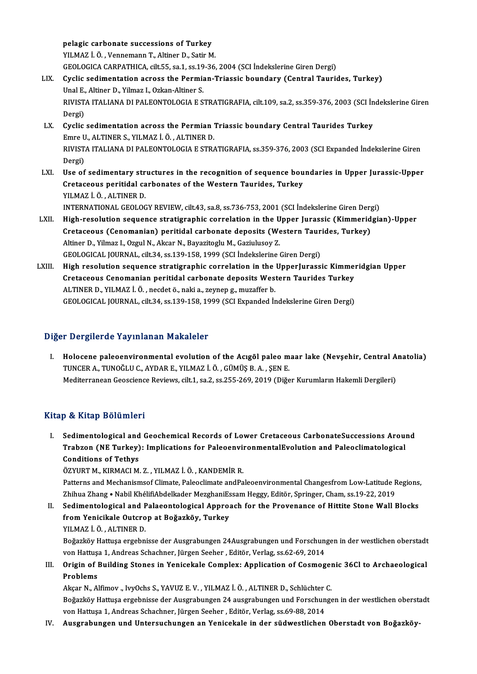pelagic carbonate successions of Turkey<br>VII MAZ i Ö. Vennemann T. Altiner D. Setin M pelagic carbonate successions of Turkey<br>YILMAZ İ. Ö. , Vennemann T., Altiner D., Satir M.<br>CEOLOCICA CAPPATHICA .gilt EE. 89.1, 89.19.36 pelagic carbonate successions of Turkey<br>YILMAZ İ. Ö. , Vennemann T., Altiner D., Satir M.<br>GEOLOGICA CARPATHICA, cilt.55, sa.1, ss.19-36, 2004 (SCI İndekslerine Giren Dergi)<br>Cyalia sedimentation asyass the Bermian Triassis YILMAZ İ. Ö. , Vennemann T., Altiner D., Satir M.<br>GEOLOGICA CARPATHICA, cilt.55, sa.1, ss.19-36, 2004 (SCI İndekslerine Giren Dergi)<br>LIX. Cyclic sedimentation across the Permian-Triassic boundary (Central Taurides, Tur GEOLOGICA CARPATHICA, cilt.55, sa.1, ss.19<br>Cyclic sedimentation across the Permia<br>Unal E., Altiner D., Yilmaz I., Ozkan-Altiner S.<br>PIVISTA ITALIANA DI PALEONTOLOCIA E S

Cyclic sedimentation across the Permian-Triassic boundary (Central Taurides, Turkey)<br>Unal E., Altiner D., Yilmaz I., Ozkan-Altiner S.<br>RIVISTA ITALIANA DI PALEONTOLOGIA E STRATIGRAFIA, cilt.109, sa.2, ss.359-376, 2003 (SCI Unal E.<br>RIVIST.<br>Dergi)<br>Cyclic RIVISTA ITALIANA DI PALEONTOLOGIA E STRATIGRAFIA, cilt.109, sa.2, ss.359-376, 2003 (SCI in<br>Dergi)<br>LX. Cyclic sedimentation across the Permian Triassic boundary Central Taurides Turkey<br>Franc II, ALTNERS, VILMAZ I, Ö, ALTNER

- Dergi)<br>Cyclic sedimentation across the Permian<br>Emre U., ALTINER S., YILMAZ İ. Ö. , ALTINER D.<br>PIVISTA ITALIANA DI PALEONTOLOCIA E STR/ Cyclic sedimentation across the Permian Triassic boundary Central Taurides Turkey<br>Emre U., ALTINER S., YILMAZ İ. Ö. , ALTINER D.<br>RIVISTA ITALIANA DI PALEONTOLOGIA E STRATIGRAFIA, ss.359-376, 2003 (SCI Expanded İndekslerine Emre U<br>RIVIST<br>Dergi)<br>Hse ef RIVISTA ITALIANA DI PALEONTOLOGIA E STRATIGRAFIA, ss.359-376, 2003 (SCI Expanded indekslerine Giren<br>Dergi)<br>LXI. Use of sedimentary structures in the recognition of sequence boundaries in Upper Jurassic-Upper<br>Cratagous port
- Dergi)<br>Use of sedimentary structures in the recognition of sequence bou<br>Cretaceous peritidal carbonates of the Western Taurides, Turkey<br>YU MAZ LÖ, ALTINER D Use of sedimentary str<br>Cretaceous peritidal ca<br>YILMAZ İ. Ö. , ALTINER D.<br>INTERNATIONAL CEOLOC Cretaceous peritidal carbonates of the Western Taurides, Turkey<br>YILMAZ İ. Ö. , ALTINER D.<br>INTERNATIONAL GEOLOGY REVIEW, cilt.43, sa.8, ss.736-753, 2001 (SCI İndekslerine Giren Dergi)<br>Hish resolution sequence etratigraphic
- YILMAZ İ. Ö. , ALTINER D.<br>INTERNATIONAL GEOLOGY REVIEW, cilt.43, sa.8, ss.736-753, 2001 (SCI İndekslerine Giren Dergi)<br>LXII. High-resolution sequence stratigraphic correlation in the Upper Jurassic (Kimmeridgian)-Upper INTERNATIONAL GEOLOGY REVIEW, cilt.43, sa.8, ss.736-753, 2001 (SCI İndekslerine Giren Derg<br>High-resolution sequence stratigraphic correlation in the Upper Jurassic (Kimmerid<br>Cretaceous (Cenomanian) peritidal carbonate depo Altiner D., Yilmaz I., Ozgul N., Akcar N., Bayazitoglu M., Gaziulusoy Z. GEOLOGICAL JOURNAL, cilt.34, ss.139-158, 1999 (SCI İndekslerine Giren Dergi) Altiner D., Yilmaz I., Ozgul N., Akcar N., Bayazitoglu M., Gaziulusoy Z.<br>GEOLOGICAL JOURNAL, cilt.34, ss.139-158, 1999 (SCI İndekslerine Giren Dergi)<br>LXIII. High resolution sequence stratigraphic correlation in the UpperJu
- GEOLOGICAL JOURNAL, cilt.34, ss.139-158, 1999 (SCI İndekslerine Giren Dergi)<br>High resolution sequence stratigraphic correlation in the UpperJurassic Kimme:<br>Cretaceous Cenomanian peritidal carbonate deposits Western Tauride High resolution sequence stratigraphic correlation in the<br>Cretaceous Cenomanian peritidal carbonate deposits Wes<br>ALTINER D., YILMAZ İ.Ö., necdet ö., naki a., zeynep g., muzaffer b.<br>CEOLOCICAL JOUPNAL silt 34 ss 139,159,199 Gretaceous Cenomanian peritidal carbonate deposits Western Taurides Turkey<br>ALTINER D., YILMAZ İ. Ö. , necdet ö., naki a., zeynep g., muzaffer b.<br>GEOLOGICAL JOURNAL, cilt.34, ss.139-158, 1999 (SCI Expanded İndekslerine Gire

# Diğer Dergilerde Yayınlanan Makaleler

I. Holocene paleoenvironmental evolution of the Acıgöl paleo maar lake (Nevşehir, Central Anatolia) TUNCERA.,TUNOĞLUC.,AYDARE.,YILMAZ İ.Ö. ,GÜMÜŞB.A. ,ŞENE. Mediterranean Geoscience Reviews, cilt.1, sa.2, ss.255-269, 2019 (Diğer Kurumların Hakemli Dergileri)

# Kitap & Kitap Bölümleri

Itap & Kitap Bölümleri<br>I. Sedimentological and Geochemical Records of Lower Cretaceous CarbonateSuccessions Around<br>Trabsen (NE Turkey): Implications for PelecenvirenmentalEvelution and Pelecelimatelegical p & IIIup Bordmiori<br>Sedimentological and Geochemical Records of Lower Cretaceous CarbonateSuccessions Arou:<br>Trabzon (NE Turkey): Implications for PaleoenvironmentalEvolution and Paleoclimatological<br>Conditions of Tethys Conditions of Tethys<br>ÖZYURT M., KIRMACI M. Z. , YILMAZ İ. Ö. , KANDEMİR R. Trabzon (NE Turkey): Implications for PaleoenvironmentalEvolution and Paleoclimatological

Patterns and Mechanismsof Climate, Paleoclimate andPaleoenvironmental Changesfrom Low-Latitude Regions, ÖZYURT M., KIRMACI M. Z. , YILMAZ İ. Ö. , KANDEMİR R.<br>Patterns and Mechanismsof Climate, Paleoclimate andPaleoenvironmental Changesfrom Low-Latitude F<br>Zhihua Zhang • Nabil KhélifiAbdelkader MezghaniEssam Heggy, Editör, Spr Patterns and Mechanismsof Climate, Paleoclimate and Paleoenvironmental Changesfrom Low-Latitude Regions<br>Zhihua Zhang • Nabil KhélifiAbdelkader MezghaniEssam Heggy, Editör, Springer, Cham, ss.19-22, 2019<br>II. Sedimentologica

Zhihua Zhang • Nabil KhélifiAbdelkader MezghaniEs<br>Sedimentological and Palaeontological Approa<br>from Yenicikale Outcrop at Boğazköy, Turkey<br>YUMAZİÖ ALTINER D Sedimentological and F<br>from Yenicikale Outcro<br>YILMAZ İ.Ö., ALTINER D.<br>Boğarlığı: Hattuse orgahn from Yenicikale Outcrop at Boğazköy, Turkey<br>YILMAZ İ. Ö. , ALTINER D.<br>Boğazköy Hattusa ergebnisse der Ausgrabungen 24Ausgrabungen und Forschungen in der westlichen oberstadt

von Hattuşa 1, Andreas Schachner, Jürgen Seeher, Editör, Verlag, ss.62-69, 2014 Boğazköy Hattuşa ergebnisse der Ausgrabungen 24Ausgrabungen und Forschungen in der westlichen oberstadt<br>von Hattuşa 1, Andreas Schachner, Jürgen Seeher , Editör, Verlag, ss.62-69, 2014<br>III. Origin of Building Stones in Yen

# von Hattus<br>**Origin of l<br>Problems**<br>Akeer N Al Origin of Building Stones in Yenicekale Complex: Application of Cosmoger<br>Problems<br>Akçar N., Alfimov ., IvyOchs S., YAVUZ E. V. , YILMAZ İ. Ö. , ALTINER D., Schlüchter C.<br>Beğarlığı: Hattuce ergebnisse der Ausznabunger 24 au

Problems<br>Akçar N., Alfimov ., IvyOchs S., YAVUZ E. V. , YILMAZ İ. Ö. , ALTINER D., Schlüchter C.<br>Boğazköy Hattuşa ergebnisse der Ausgrabungen 24 ausgrabungen und Forschungen in der westlichen oberstadt<br>von Hattuse 1. Andre Akçar N., Alfimov ., IvyOchs S., YAVUZ E. V. , YILMAZ İ. Ö. , ALTINER D., Schlüchter<br>Boğazköy Hattuşa ergebnisse der Ausgrabungen 24 ausgrabungen und Forschun<br>von Hattuşa 1, Andreas Schachner, Jürgen Seeher , Editör, Verla Boğazköy Hattuşa ergebnisse der Ausgrabungen 24 ausgrabungen und Forschungen in der westlichen oberstadt von Hattuşa 1, Andreas Schachner, Jürgen Seeher , Editör, Verlag, ss.69-88, 2014<br>IV. Ausgrabungen und Untersuchun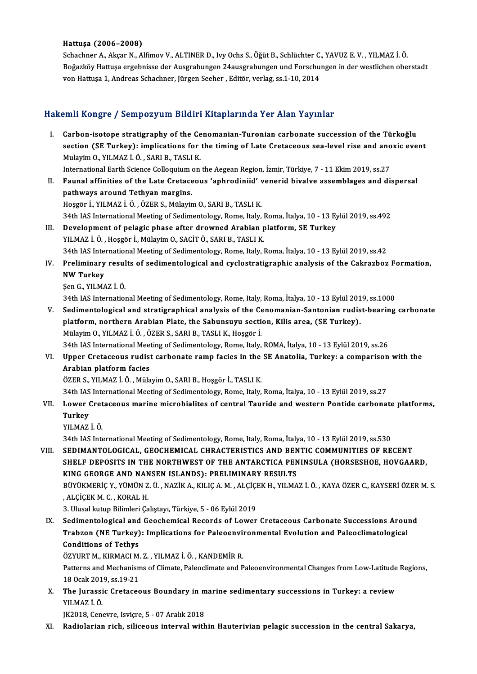#### Hattuşa (2006–2008)

Hattuşa (2006–2008)<br>Schachner A., Akçar N., Alfimov V., ALTINER D., Ivy Ochs S., Öğüt B., Schlüchter C., YAVUZ E. V. , YILMAZ İ. Ö<br>Boğarköy Hattuse exsebnisse der Aussrebungen 24eussrebungen und Earschungen in der westlich Hattuşa (2006–2008)<br>Schachner A., Akçar N., Alfimov V., ALTINER D., Ivy Ochs S., Öğüt B., Schlüchter C., YAVUZ E. V. , YILMAZ İ. Ö<br>Boğazköy Hattuşa ergebnisse der Ausgrabungen 24ausgrabungen und Forschungen in der westlich Schachner A., Akçar N., Alfimov V., ALTINER D., Ivy Ochs S., Öğüt B., Schlüchter C.<br>Boğazköy Hattuşa ergebnisse der Ausgrabungen 24ausgrabungen und Forschu<br>von Hattuşa 1, Andreas Schachner, Jürgen Seeher , Editör, verlag,

# von Hattuşa 1, Andreas Schachner, Jürgen Seeher , Editör, verlag, ss.1-10, 2014<br>Hakemli Kongre / Sempozyum Bildiri Kitaplarında Yer Alan Yayınlar

- akemli Kongre / Sempozyum Bildiri Kitaplarında Yer Alan Yayınlar<br>I. Carbon-isotope stratigraphy of the Cenomanian-Turonian carbonate succession of the Türkoğlu<br>Section (SE Turkov): implications for the timing of Late Creta section (SE Turkey): implications for the timing of Late Cretaceous sea-level rise and anoxic event<br>Mulayim O., YILMAZ İ. Ö., SARI B., TASLI K. Carbon-isotope stratigraphy of the Ce<br>section (SE Turkey): implications for<br>Mulayim O., YILMAZ İ. Ö. , SARI B., TASLI K.<br>International Ferth Science Cellegyium on section (SE Turkey): implications for the timing of Late Cretaceous sea-level rise and ano<br>Mulayim O., YILMAZ İ. Ö. , SARI B., TASLI K.<br>International Earth Science Colloquium on the Aegean Region, İzmir, Türkiye, 7 - 11 Ek
- Mulayim O., YILMAZ İ. Ö. , SARI B., TASLI K.<br>International Earth Science Colloquium on the Aegean Region, İzmir, Türkiye, 7 11 Ekim 2019, ss.27<br>II. Faunal affinities of the Late Cretaceous 'aphrodiniid' venerid bival International Earth Science Colloquium<br>Faunal affinities of the Late Cretace<br>pathways around Tethyan margins.<br>Hessän L.YU M47 LÖ LÖZER S. Mülevis Faunal affinities of the Late Cretaceous 'aphrodiniid' v<br>pathways around Tethyan margins.<br>Hoşgör İ., YILMAZ İ.Ö., ÖZER S., Mülayim O., SARI B., TASLI K.<br>24th JAS International Meeting of Sedimentelegy, Peme, Italy. 134th Vays around Tethyan margins.<br>1993: Hosgör İ., YILMAZ İ. Ö. , ÖZER S., Mülayim O., SARI B., TASLI K.<br>194th IAS International Meeting of Sedimentology, Rome, Italy, Roma, İtalya, 10 - 13 Eylül 2019, ss.492
- III. Development of pelagic phase after drowned Arabian platform, SE Turkey YILMAZ İ.Ö., Hoşgör İ., Mülayim O., SACİT Ö., SARI B., TASLI K. 34th IAS International Meeting of Sedimentology, Rome, Italy, Roma, İtalya, 10 - 13 Eylül 2019, ss.42 YILMAZ İ. Ö. , Hoşgör İ., Mülayim O., SACİT Ö., SARI B., TASLI K.<br>34th IAS International Meeting of Sedimentology, Rome, Italy, Roma, İtalya, 10 - 13 Eylül 2019, ss.42<br>IV. Preliminary results of sedimentological and cy
- 34th IAS Inte:<br>Preliminary<br>NW Turkey<br>Sen G VII MA Preliminary resul<br>NW Turkey<br>Şen G., YILMAZ İ. Ö.<br>24th JAS Internatiol 34th IAS International Meeting of Sedimentology, Rome, Italy, Roma, İtalya, 10 - 13 Eylül 2019, ss.1000<br>34th IAS International Meeting of Sedimentology, Rome, Italy, Roma, İtalya, 10 - 13 Eylül 2019, ss.1000
	-

Sen G., YILMAZ İ. Ö.<br>34th IAS International Meeting of Sedimentology, Rome, Italy, Roma, İtalya, 10 - 13 Eylül 2019, ss.1000<br>1991 - V. Sedimentological and stratigraphical analysis of the Cenomanian-Santonian rudist-bearin 34th IAS International Meeting of Sedimentology, Rome, Italy, Roma, İtalya, 10 - 13 Eylül 201<br>Sedimentological and stratigraphical analysis of the Cenomanian-Santonian rudis<br>platform, northern Arabian Plate, the Sabunsuyu platform, northern Arabian Plate, the Sabunsuyu section, Kilis area, (SE Turkey).<br>Mülayim O., YILMAZ İ.Ö., ÖZER S., SARI B., TASLI K., Hoşgör İ. platform, northern Arabian Plate, the Sabunsuyu section, Kilis area, (SE Turkey).<br>Mülayim 0., YILMAZ İ. Ö. , ÖZER S., SARI B., TASLI K., Hoşgör İ.<br>34th IAS International Meeting of Sedimentology, Rome, Italy, ROMA, İtalya,

Mülayim O., YILMAZ İ. Ö. , ÖZER S., SARI B., TASLI K., Hoşgör İ.<br>34th IAS International Meeting of Sedimentology, Rome, Italy, ROMA, İtalya, 10 - 13 Eylül 2019, ss.26<br>VI. Upper Cretaceous rudist carbonate ramp facies in th 34th IAS International Mee<br>Upper Cretaceous rudist<br>Arabian platform facies<br>ÖZEP S. VII MAZ İ. Ö. Müla VI. Upper Cretaceous rudist carbonate ramp facies in the SE Anatolia, Turkey: a comparison with the Arabian platform facies<br>ÖZER S., YILMAZ İ.Ö., Mülayim O., SARI B., Hoşgör İ., TASLI K. Arabian platform facies<br>ÖZER S., YILMAZ İ. Ö. , Mülayim O., SARI B., Hoşgör İ., TASLI K.<br>34th IAS International Meeting of Sedimentology, Rome, Italy, Roma, İtalya, 10 - 13 Eylül 2019, ss.27<br>Lawer Cretaseeus marine misrebi

# ÖZER S., YILMAZ İ. Ö. , Mülayim O., SARI B., Hoşgör İ., TASLI K.<br>34th IAS International Meeting of Sedimentology, Rome, Italy, Roma, İtalya, 10 - 13 Eylül 2019, ss.27<br>VII. Lower Cretaceous marine microbialites of cent 34th IAS<br><mark>Lower (</mark><br>Turkey<br><sup>VII MA7</sup> Lower Cret<br>Turkey<br>YILMAZ İ. Ö.<br><sup>24tb IAS Inte</sup> Turkey<br>YILMAZ İ. Ö.<br>34th IAS International Meeting of Sedimentology, Rome, Italy, Roma, İtalya, 10 - 13 Eylül 2019, ss.530

VILMAZ İ. Ö.<br>34th IAS International Meeting of Sedimentology, Rome, Italy, Roma, İtalya, 10 - 13 Eylül 2019, ss.530<br>1911. SEDIMANTOLOGICAL, GEOCHEMICAL CHRACTERISTICS AND BENTIC COMMUNITIES OF RECENT<br>1912. SUELE DEPOSITS I 34th IAS International Meeting of Sedimentology, Rome, Italy, Roma, Italya, 10 - 13 Eylül 2019, ss.530<br>SEDIMANTOLOGICAL, GEOCHEMICAL CHRACTERISTICS AND BENTIC COMMUNITIES OF RECENT<br>SHELF DEPOSITS IN THE NORTHWEST OF THE AN SEDIMANTOLOGICAL, GEOCHEMICAL CHRACTERISTICS AND BEN<br>SHELF DEPOSITS IN THE NORTHWEST OF THE ANTARCTICA PEN<br>KING GEORGE AND NANSEN ISLANDS): PRELIMINARY RESULTS<br>PÜVÜKMERIC V VÜMÜN 7 Ü. NA7İK A. KU IC A M. ALCİCEK'H. VU MA SHELF DEPOSITS IN THE NORTHWEST OF THE ANTARCTICA PENINSULA (HORSESHOE, HOVGAARD,<br>KING GEORGE AND NANSEN ISLANDS): PRELIMINARY RESULTS<br>BÜYÜKMERİÇ Y., YÜMÜN Z. Ü. , NAZİK A., KILIÇ A. M. , ALÇİÇEK H., YILMAZ İ. Ö. , KAYA ÖZ KING GEORGE AND NAN<br>BÜYÜKMERİÇ Y., YÜMÜN Z<br>, ALÇİÇEK M. C. , KORAL H.<br>2. Ulusal kutun Bilimleri Ca BÜYÜKMERİÇ Y., YÜMÜN Z. Ü. , NAZİK A., KILIÇ A. M. , ALÇİÇI<br>, ALÇİÇEK M. C. , KORAL H.<br>3. Ulusal kutup Bilimleri Çalıştayı, Türkiye, 5 - 06 Eylül 2019<br>Sedimentelegisel and Geoshemisel Beserds of Lewer

ALÇİÇEK M. C. , KORAL H.<br>3. Ulusal kutup Bilimleri Çalıştayı, Türkiye, 5 - 06 Eylül 2019<br>IX. Sedimentological and Geochemical Records of Lower Cretaceous Carbonate Successions Around<br>Trabron (NE Turkov): Impliations for Po 3. Ulusal kutup Bilimleri Çalıştayı, Türkiye, 5 - 06 Eylül 2019<br>Sedimentological and Geochemical Records of Lower Cretaceous Carbonate Successions Arou!<br>Trabzon (NE Turkey): Implications for Paleoenvironmental Evolution an Sedimentological and<br>Trabzon (NE Turkey)<br>Conditions of Tethys<br>ÖZVUPT M. KIPMACLM Trabzon (NE Turkey): Implications for Paleoenvin<br>Conditions of Tethys<br>ÖZYURT M., KIRMACI M. Z. , YILMAZ İ. Ö. , KANDEMİR R.<br>Patterns and Meshanisms of Climate Paleoslimate and P

Conditions of Tethys<br>ÖZYURT M., KIRMACI M. Z. , YILMAZ İ. Ö. , KANDEMİR R.<br>Patterns and Mechanisms of Climate, Paleoclimate and Paleoenvironmental Changes from Low-Latitude Regions,<br>18 Ocak 2019, ss.19-21 ÖZYURT M., KIRMACI M.<br>Patterns and Mechanism<br>18 Ocak 2019, ss.19-21<br>The Junessis Crataces Patterns and Mechanisms of Climate, Paleoclimate and Paleoenvironmental Changes from Low-Latitude<br>18 Ocak 2019, ss.19-21<br>X. The Jurassic Cretaceous Boundary in marine sedimentary successions in Turkey: a review<br>VII MAZ İ Ö

18 Ocak 201<br>**The Jurassi<br>YILMAZ İ. Ö.**<br>I<sup>I</sup>2018 Cen The Jurassic Cretaceous Boundary in m<br>YILMAZ İ. Ö.<br>JK2018, Cenevre, Isviçre, 5 - 07 Aralık 2018<br>Padialarian rish, silisasına interval with XILMAZ İ. Ö.<br>182018, Cenevre, Isviçre, 5 - 07 Aralık 2018<br>XI. Radiolarian rich, siliceous interval within Hauterivian pelagic succession in the central Sakarya,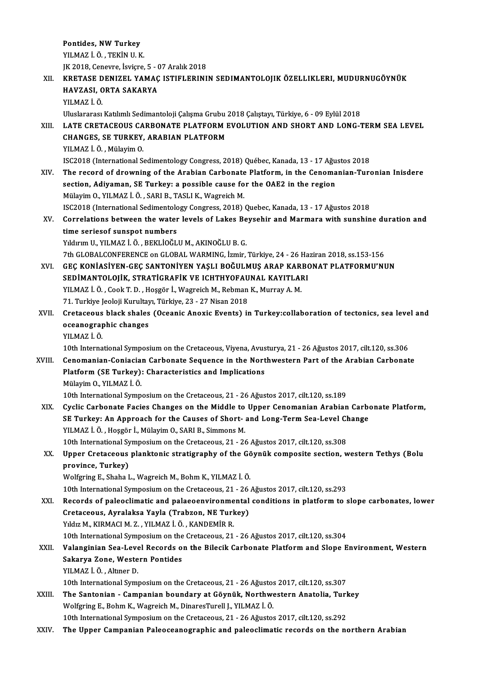Pontides, NW Turkey YILMAZ İ.Ö. ,TEKİNU.K. Pontides, NW Turkey<br>YILMAZ İ. Ö. , TEKİN U. K.<br>JK 2018, Cenevre, İsviçre, 5 - 07 Aralık 2018<br>KRETASE DENIZEL YAMAC ISTIELERINI YILMAZ İ. Ö. , TEKİN U. K.<br>JK 2018, Cenevre, İsviçre, 5 - 07 Aralık 2018<br>XII. KRETASE DENIZEL YAMAÇ ISTIFLERININ SEDIMANTOLOJIK ÖZELLIKLERI, MUDURNUGÖYNÜK<br>HAVZASL OPTA SAKARYA JK 2018, Cenevre, İsviçre, 5 - (<br>KRETASE DENIZEL YAMAÇ<br>HAVZASI, ORTA SAKARYA<br>YU MAZ İ Ö KRETASE D<br>HAVZASI, C<br>YILMAZ İ. Ö.<br>Uluslararası HAVZASI, ORTA SAKARYA<br>YILMAZ İ. Ö.<br>Uluslararası Katılımlı Sedimantoloji Çalışma Grubu 2018 Çalıştayı, Türkiye, 6 - 09 Eylül 2018<br>LATE CRETACEOUS CARRONATE BLATEORM EVOLUTION AND SHORT AND LONG I XI I. LATE CRETACEOUS CARBONATE PLATFORMEVOLUTION AND SHORT AND LONG-TERMSEA LEVEL Uluslararası Katılımlı Sedimantoloji Çalışma Grubu<br>LATE CRETACEOUS CARBONATE PLATFORM I<br>CHANGES, SE TURKEY, ARABIAN PLATFORM<br>VILMAZİÖ - Mülayim Q LATE CRETACEOUS CA<br>CHANGES, SE TURKEY,<br>YILMAZ İ. Ö. , Mülayim O.<br>ISC2018 (International S CHANGES, SE TURKEY, ARABIAN PLATFORM<br>YILMAZ İ. Ö. , Mülayim O.<br>ISC2018 (International Sedimentology Congress, 2018) Québec, Kanada, 13 - 17 Ağustos 2018<br>The reserd of drowning of the Arebian Cerbenete Platform, in the Cono YILMAZ İ. Ö. , Mülayim O.<br>ISC2018 (International Sedimentology Congress, 2018) Québec, Kanada, 13 - 17 Ağustos 2018<br>XIV. The record of drowning of the Arabian Carbonate Platform, in the Cenomanian-Turonian Inisdere<br>section ISC2018 (International Sedimentology Congress, 2018) Québec, Kanada, 13 - 17 Ağu<br>The record of drowning of the Arabian Carbonate Platform, in the Cenoma<br>section, Adiyaman, SE Turkey: a possible cause for the OAE2 in the re MülayimO.,YILMAZ İ.Ö. ,SARIB.,TASLIK.,WagreichM. section, Adiyaman, SE Turkey: a possible cause for the OAE2 in the region<br>Mülayim O., YILMAZ İ. Ö. , SARI B., TASLI K., Wagreich M.<br>ISC2018 (International Sedimentology Congress, 2018) Quebec, Kanada, 13 - 17 Ağustos 2018<br> Mülayim O., YILMAZ İ. Ö. , SARI B., TASLI K., Wagreich M.<br>ISC2018 (International Sedimentology Congress, 2018) Quebec, Kanada, 13 - 17 Ağustos 2018<br>XV. Correlations between the water levels of Lakes Beysehir and Marmar ISC2018 (International Sedimentolo<br>Correlations between the water<br>time seriesof sunspot numbers<br>Viduum II, VII MAZ i. Ö., BEVI İQČI Correlations between the water levels of Lakes Be<br>time seriesof sunspot numbers<br>Yıldırım U., YILMAZ İ.Ö., BEKLİOĞLU M., AKINOĞLU B. G.<br>7th CLOBALCONEERENCE on CLOBAL WARMING İzmin time seriesof sunspot numbers<br>Yıldırım U., YILMAZ İ. Ö. , BEKLİOĞLU M., AKINOĞLU B. G.<br>7th GLOBALCONFERENCE on GLOBAL WARMING, İzmir, Türkiye, 24 - 26 Haziran 2018, ss.153-156 Yıldırım U., YILMAZ İ. Ö. , BEKLİOĞLU M., AKINOĞLU B. G.<br>7th GLOBALCONFERENCE on GLOBAL WARMING, İzmir, Türkiye, 24 - 26 Haziran 2018, ss.153-156<br>8TRIMANTOLOJIK, STRATICRAFIK VE ICHTHYOFAJINAL KAYITLARI 7th GLOBALCONFERENCE on GLOBAL WARMING, İzmir, Türkiye, 24 - 26 Ha<br>GEÇ KONİASİYEN-GEÇ SANTONİYEN YAŞLI BOĞULMUŞ ARAP KARBO<br>SEDİMANTOLOJİK, STRATİGRAFİK VE ICHTHYOFAUNAL KAYITLARI<br>YU MAZİ Ö. COQk T.D., HOSSÖRİ, Wastsish M. GEÇ KONİASİYEN-GEÇ SANTONİYEN YAŞLI BOĞULMUŞ ARAP KAR<br>SEDİMANTOLOJİK, STRATİGRAFİK VE ICHTHYOFAUNAL KAYITLAI<br>YILMAZ İ. Ö. , Cook T. D. , Hoşgör İ., Wagreich M., Rebman K., Murray A. M.<br>71. Turkiye Jeoloji Kurultan, Türkiye SEDİMANTOLOJİK, STRATİGRAFİK VE ICHTHYOFAU<br>YILMAZ İ. Ö. , Cook T. D. , Hoşgör İ., Wagreich M., Rebman<br>71. Turkiye Jeoloji Kurultayı, Türkiye, 23 - 27 Nisan 2018<br>Cratasaous blask shalas (Oseanis Anovis Events) ir YILMAZ İ. Ö. , Cook T. D. , Hoşgör İ., Wagreich M., Rebman K., Murray A. M.<br>71. Turkiye Jeoloji Kurultayı, Türkiye, 23 - 27 Nisan 2018<br>XVII. Cretaceous black shales (Oceanic Anoxic Events) in Turkey:collaboration of te 71. Turkiye Jeoloji Kurultay<br>Cretaceous black shales<br>oceanographic changes<br>YU MA7 i Ö Cretaceous<br>oceanograp<br>YILMAZ İ. Ö.<br>10th Interna oceanographic changes<br>10th International Symposium on the Cretaceous, Viyena, Avusturya, 21 - 26 Ağustos 2017, cilt.120, ss.306<br>10th International Symposium on the Cretaceous, Viyena, Avusturya, 21 - 26 Ağustos 2017, cilt. XVIII. Cenomanian-Coniacian Carbonate Sequence in the Northwestern Part of the Arabian Carbonate 10th International Symposium on the Cretaceous, Viyena, Avus<br>Cenomanian-Coniacian Carbonate Sequence in the Nort<br>Platform (SE Turkey): Characteristics and Implications<br>Mülavim O, VII MAZ İ Ö Cenomanian-Coniacia<br>Platform (SE Turkey)<br>Mülayim O., YILMAZ İ. Ö.<br>10th International Sumn Mülayim O., YILMAZ İ. Ö.<br>10th International Symposium on the Cretaceous, 21 - 26 Ağustos 2017, cilt.120, ss.189 Mülayim O., YILMAZ İ. Ö.<br>10th International Symposium on the Cretaceous, 21 - 26 Ağustos 2017, cilt.120, ss.189<br>XIX. Cyclic Carbonate Facies Changes on the Middle to Upper Cenomanian Arabian Carbonate Platform,<br>SE Turkeyy 10th International Symposium on the Cretaceous, 21 - 26 Ağustos 2017, cilt.120, ss.189<br>Cyclic Carbonate Facies Changes on the Middle to Upper Cenomanian Arabian Carbo<br>SE Turkey: An Approach for the Causes of Short- and Lon Cyclic Carbonate Facies Changes on the Middle to<br>SE Turkey: An Approach for the Causes of Short-<br>YILMAZ İ.Ö., Hoşgör İ., Mülayim O., SARI B., Simmons M.<br>10th International Sumnosium on the Cratesseus 21, 24 SE Turkey: An Approach for the Causes of Short- and Long-Term Sea-Level Change<br>YILMAZ İ. Ö., Hoşgör İ., Mülayim O., SARI B., Simmons M. XX. Upper Cretaceous planktonic stratigraphy of the Göynük composite section, western Tethys (Bolu province, Turkey) 10th International Symposium on the Cretaceous, 21 - 26 Ağustos 2017, cilt.120, ss.308 Wolfgring E., Shaha L., Wagreich M., Bohm K., YILMAZ İ. Ö. 10th International Symposium on the Cretaceous, 21 - 26 Ağustos 2017, cilt.120, ss.293 XXI. Records of paleoclimatic and palaeoenvironmental conditions in platform to slope carbonates, lower 10th International Symposium on the Cretaceous, 21 - 26<br>Records of paleoclimatic and palaeoenvironmental<br>Cretaceous, Ayralaksa Yayla (Trabzon, NE Turkey)<br>Vidiz M. KIPMACLM 7 - VILMAZ LÖ, KANDEMIP P Records of paleoclimatic and palaeoenvironme<br>Cretaceous, Ayralaksa Yayla (Trabzon, NE Turk<br>Yıldız M., KIRMACI M. Z. , YILMAZ İ. Ö. , KANDEMİR R.<br>10th International Sumnesium en the Cratasceus, 21 Cretaceous, Ayralaksa Yayla (Trabzon, NE Turkey)<br>Yıldız M., KIRMACI M. Z. , YILMAZ İ. Ö. , KANDEMİR R.<br>10th International Symposium on the Cretaceous, 21 - 26 Ağustos 2017, cilt.120, ss.304<br>Valanginian Sea Level Beserds on Yıldız M., KIRMACI M. Z. , YILMAZ İ. Ö. , KANDEMİR R.<br>10th International Symposium on the Cretaceous, 21 - 26 Ağustos 2017, cilt.120, ss.304<br>XXII. Valanginian Sea-Level Records on the Bilecik Carbonate Platform and Slo 10th International Symposium on the<br>Valanginian Sea-Level Records of<br>Sakarya Zone, Western Pontides<br>VII MAZ İ.Ö. Altner D Valanginian Sea-Leve<br>Sakarya Zone, Weste<br>YILMAZ İ.Ö., Altıner D.<br>10th International Sumi 10th International Sakarya Zone, Western Pontides<br>10th International Symposium on the Cretaceous, 21 - 26 Ağustos 2017, cilt.120, ss.307<br>10th International Symposium on the Cretaceous, 21 - 26 Ağustos 2017, cilt.120, ss.30 YILMAZ İ. Ö. , Altıner D.<br>10th International Symposium on the Cretaceous, 21 - 26 Ağustos 2017, cilt.120, ss.307<br>XXIII. The Santonian - Campanian boundary at Göynük, Northwestern Anatolia, Turkey 10th International Symposium on the Cretaceous, 21 - 26 Ağustos<br>The Santonian - Campanian boundary at Göynük, Northwe<br>Wolfgring E., Bohm K., Wagreich M., DinaresTurell J., YILMAZ İ.Ö.<br>10th International Symposium on the Cr The Santonian - Campanian boundary at Göynük, Northwestern Anatolia, Turl<br>Wolfgring E., Bohm K., Wagreich M., DinaresTurell J., YILMAZ İ. Ö.<br>10th International Symposium on the Cretaceous, 21 - 26 Ağustos 2017, cilt.120, s Wolfgring E., Bohm K., Wagreich M., DinaresTurell J., YILMAZ İ. Ö.<br>10th International Symposium on the Cretaceous, 21 - 26 Ağustos 2017, cilt.120, ss.292<br>XXIV. The Upper Campanian Paleoceanographic and paleoclimatic re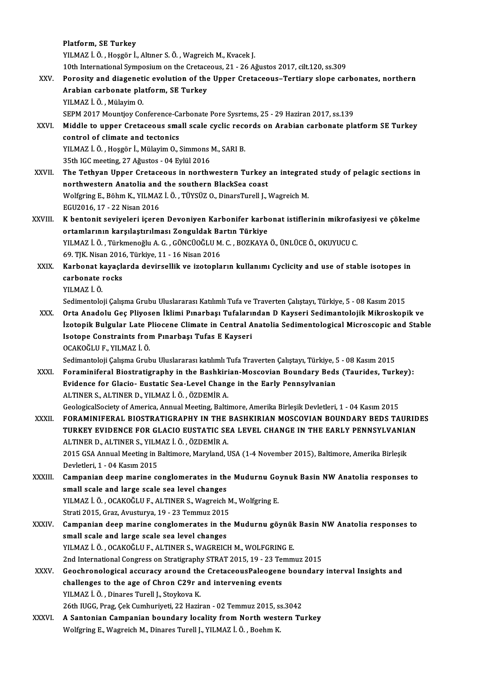|              | Platform, SE Turkey                                                                                                                                                                                    |
|--------------|--------------------------------------------------------------------------------------------------------------------------------------------------------------------------------------------------------|
|              | YILMAZ İ. Ö., Hoşgör İ., Altıner S. Ö., Wagreich M., Kvacek J.                                                                                                                                         |
|              | 10th International Symposium on the Cretaceous, 21 - 26 Ağustos 2017, cilt.120, ss.309                                                                                                                 |
| XXV.         | Porosity and diagenetic evolution of the Upper Cretaceous-Tertiary slope carbonates, northern                                                                                                          |
|              | Arabian carbonate platform, SE Turkey                                                                                                                                                                  |
|              | YILMAZ İ. Ö., Mülayim O.                                                                                                                                                                               |
|              | SEPM 2017 Mountjoy Conference-Carbonate Pore Sysrtems, 25 - 29 Haziran 2017, ss.139                                                                                                                    |
| XXVI.        | Middle to upper Cretaceous small scale cyclic records on Arabian carbonate platform SE Turkey                                                                                                          |
|              | control of climate and tectonics                                                                                                                                                                       |
|              | YILMAZ İ. Ö., Hoşgör İ., Mülayim O., Simmons M., SARI B.                                                                                                                                               |
|              | 35th IGC meeting, 27 Ağustos - 04 Eylül 2016                                                                                                                                                           |
| XXVII.       | The Tethyan Upper Cretaceous in northwestern Turkey an integrated study of pelagic sections in                                                                                                         |
|              | northwestern Anatolia and the southern BlackSea coast                                                                                                                                                  |
|              | Wolfgring E., Böhm K., YILMAZ İ. Ö., TÜYSÜZ O., DinarsTurell J., Wagreich M.                                                                                                                           |
|              | EGU2016, 17 - 22 Nisan 2016                                                                                                                                                                            |
| XXVIII.      | K bentonit seviyeleri içeren Devoniyen Karbonifer karbonat istiflerinin mikrofasiyesi ve çökelme                                                                                                       |
|              | ortamlarının karşılaştırılması Zonguldak Bartın Türkiye                                                                                                                                                |
|              | YILMAZ İ. Ö., Türkmenoğlu A. G., GÖNCÜOĞLU M. C., BOZKAYA Ö., ÜNLÜCE Ö., OKUYUCU C.                                                                                                                    |
|              | 69. TJK. Nisan 2016, Türkiye, 11 - 16 Nisan 2016                                                                                                                                                       |
| XXIX.        | Karbonat kayaçlarda devirsellik ve izotopların kullanımı Cyclicity and use of stable isotopes in                                                                                                       |
|              | carbonate rocks                                                                                                                                                                                        |
|              | YILMAZ İ Ö                                                                                                                                                                                             |
|              | Sedimentoloji Çalışma Grubu Uluslararası Katılımlı Tufa ve Traverten Çalıştayı, Türkiye, 5 - 08 Kasım 2015                                                                                             |
| XXX.         | Orta Anadolu Geç Pliyosen İklimi Pınarbaşı Tufalarından D Kayseri Sedimantolojik Mikroskopik ve<br>İzotopik Bulgular Late Pliocene Climate in Central Anatolia Sedimentological Microscopic and Stable |
|              | Isotope Constraints from Pinarbaşı Tufas E Kayseri                                                                                                                                                     |
|              | OCAKOĞLU F., YILMAZ İ Ö.                                                                                                                                                                               |
|              | Sedimantoloji Çalışma Grubu Uluslararası katılımlı Tufa Traverten Çalıştayı, Türkiye, 5 - 08 Kasım 2015                                                                                                |
| <b>XXXI</b>  | Foraminiferal Biostratigraphy in the Bashkirian-Moscovian Boundary Beds (Taurides, Turkey):                                                                                                            |
|              | Evidence for Glacio- Eustatic Sea-Level Change in the Early Pennsylvanian                                                                                                                              |
|              | ALTINER S., ALTINER D., YILMAZ İ. Ö., ÖZDEMİR A.                                                                                                                                                       |
|              | GeologicalSociety of America, Annual Meeting, Baltimore, Amerika Birleşik Devletleri, 1 - 04 Kasım 2015                                                                                                |
| XXXII.       | FORAMINIFERAL BIOSTRATIGRAPHY IN THE BASHKIRIAN MOSCOVIAN BOUNDARY BEDS TAURIDES                                                                                                                       |
|              | TURKEY EVIDENCE FOR GLACIO EUSTATIC SEA LEVEL CHANGE IN THE EARLY PENNSYLVANIAN                                                                                                                        |
|              | ALTINER D., ALTINER S., YILMAZ İ. Ö., ÖZDEMİR A.                                                                                                                                                       |
|              | 2015 GSA Annual Meeting in Baltimore, Maryland, USA (1-4 November 2015), Baltimore, Amerika Birleşik                                                                                                   |
|              | Devletleri, 1 - 04 Kasım 2015                                                                                                                                                                          |
| XXXIII.      | Campanian deep marine conglomerates in the Mudurnu Goynuk Basin NW Anatolia responses to                                                                                                               |
|              | small scale and large scale sea level changes                                                                                                                                                          |
|              | YILMAZ İ. Ö., OCAKOĞLU F., ALTINER S., Wagreich M., Wolfgring E.                                                                                                                                       |
|              | Strati 2015, Graz, Avusturya, 19 - 23 Temmuz 2015                                                                                                                                                      |
| <b>XXXIV</b> | Campanian deep marine conglomerates in the Mudurnu göynük Basin NW Anatolia responses to                                                                                                               |
|              | small scale and large scale sea level changes                                                                                                                                                          |
|              | YILMAZ İ. Ö., OCAKOĞLU F., ALTINER S., WAGREICH M., WOLFGRING E.                                                                                                                                       |
|              | 2nd International Congress on Stratigraphy STRAT 2015, 19 - 23 Temmuz 2015                                                                                                                             |
| <b>XXXV</b>  | Geochronological accuracy around the CretaceousPaleogene boundary interval Insights and                                                                                                                |
|              | challenges to the age of Chron C29r and intervening events                                                                                                                                             |
|              | YILMAZ İ. Ö., Dinares Turell J., Stoykova K.                                                                                                                                                           |
|              | 26th IUGG, Prag, Çek Cumhuriyeti, 22 Haziran - 02 Temmuz 2015, ss.3042                                                                                                                                 |
| XXXVI.       | A Santonian Campanian boundary locality from North western Turkey                                                                                                                                      |
|              | Wolfgring E., Wagreich M., Dinares Turell J., YILMAZ İ. Ö., Boehm K.                                                                                                                                   |